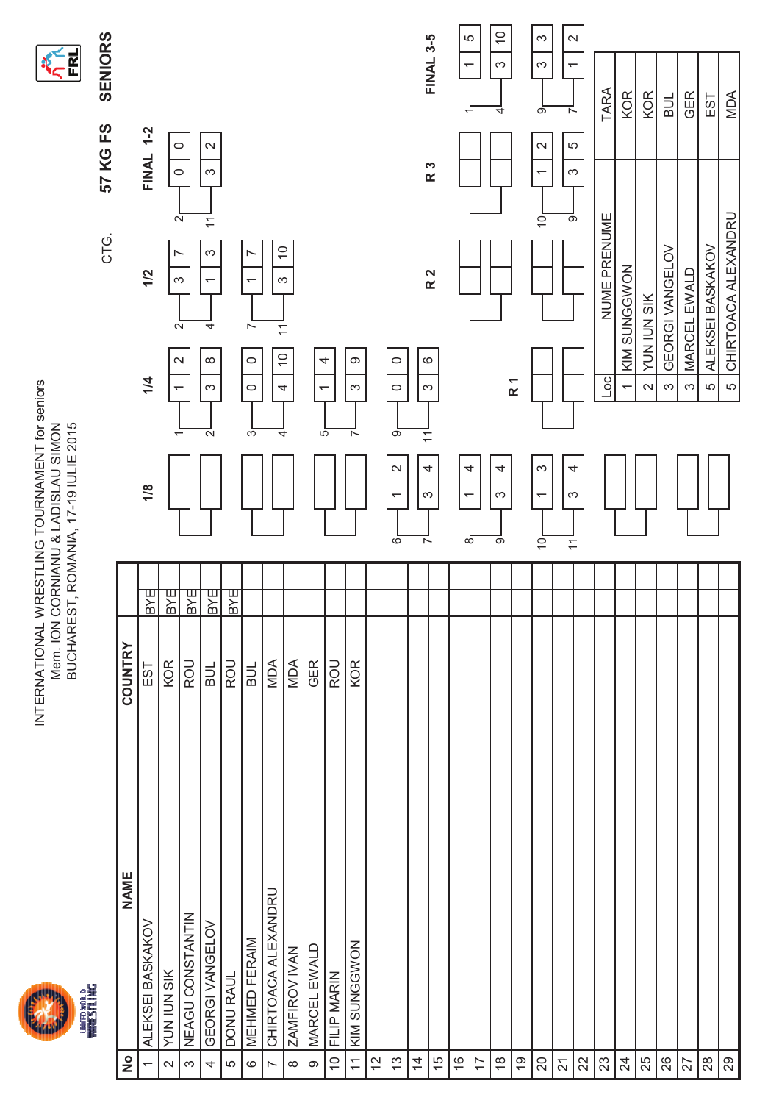



|                                   |                      |               |               |                                                         |                                                 | CTG.                                            | FS<br>57 KG                                                      | SENIORS                                                   |
|-----------------------------------|----------------------|---------------|---------------|---------------------------------------------------------|-------------------------------------------------|-------------------------------------------------|------------------------------------------------------------------|-----------------------------------------------------------|
| $\frac{1}{2}$                     | <b>NAME</b>          | COUNTRY       |               |                                                         |                                                 |                                                 |                                                                  |                                                           |
|                                   | ALEKSEI BASKAKOV     | EST           | Κg            | 1/8                                                     | 1/4                                             | 1/2                                             | $1 - 2$<br>FINAL                                                 |                                                           |
| $\sim$                            | YUN IUN SIK          | KOR           | <b>AS</b>     |                                                         | T                                               | $\overline{\phantom{1}}$                        | $\circ$                                                          |                                                           |
| $\infty$                          | NEAGU CONSTANTIN     | ROU           | $\frac{B}{B}$ | $\overline{\phantom{0}}$                                | $\mathbf{\Omega}$                               | S<br>$\overline{N}$                             | $\circ$<br>$\overline{N}$                                        |                                                           |
| 4                                 | GEORGI VANGELOV      | BUL           | <b>BXE</b>    | $\mathbf{\Omega}$                                       | $\infty$<br>ω                                   | က<br>$\overline{\phantom{0}}$<br>4              | $\sim$<br>S<br>$\overline{\mathbf{1}}$                           |                                                           |
| LO                                | <b>DONU RAUL</b>     | ROU           | <b>BYE</b>    |                                                         |                                                 |                                                 |                                                                  |                                                           |
| $\circ$                           | <b>MEHMED FERAIM</b> | $\frac{1}{2}$ |               | S                                                       | $\circ$<br>$\circ$                              | N<br>$\overline{\phantom{m}}$<br>$\overline{r}$ |                                                                  |                                                           |
| $\overline{a}$                    | CHIRTOACA ALEXANDRU  | MDA           |               | 4                                                       | $\overline{\mathbf{r}}$<br>$\widetilde{C}$<br>4 | $\overline{0}$<br>S                             |                                                                  |                                                           |
| $\infty$                          | ZAMFIROV IVAN        | MDA           |               |                                                         |                                                 |                                                 |                                                                  |                                                           |
| $\infty$                          | MARCEL EWALD         | GER           |               | $\overline{5}$                                          | 4<br>$\overline{\phantom{0}}$                   |                                                 |                                                                  |                                                           |
| $\Rightarrow$                     | FILIP MARIN          | ROU           |               |                                                         |                                                 |                                                 |                                                                  |                                                           |
| $\overline{\overline{a}}$         | KIM SUNGGWON         | KOR           |               | $\overline{ }$                                          | တ<br>S                                          |                                                 |                                                                  |                                                           |
| $\overline{c}$                    |                      |               |               |                                                         |                                                 |                                                 |                                                                  |                                                           |
| 13                                |                      |               |               | ၜ<br>$\mathbf{\Omega}$<br>$\overline{\phantom{0}}$<br>စ | $\circ$<br>$\circ$                              |                                                 |                                                                  |                                                           |
| $\overline{4}$                    |                      |               |               | $\overline{\mathbf{r}}$<br>S<br>ᅐ                       | $\circ$<br>$\infty$                             |                                                 |                                                                  |                                                           |
| 15                                |                      |               |               | 4                                                       |                                                 | R <sub>2</sub>                                  | R 3                                                              | <b>FINAL 3-5</b>                                          |
| $\frac{\mathcal{O}}{\mathcal{V}}$ |                      |               |               | 4<br>$\overline{\phantom{0}}$<br>$\infty$               |                                                 |                                                 |                                                                  | 5<br>$\overline{\phantom{0}}$<br>$\overline{\phantom{0}}$ |
| $\overline{\mathcal{L}}$          |                      |               |               |                                                         |                                                 |                                                 |                                                                  |                                                           |
| $\overset{\infty}{\sim}$          |                      |               |               | 4<br>S<br>တ                                             |                                                 |                                                 |                                                                  | $\widetilde{\phantom{a}}$<br>S<br>4                       |
| $\overline{\mathrm{G}}$           |                      |               |               |                                                         | R <sub>1</sub>                                  |                                                 |                                                                  |                                                           |
| $\gtrsim$                         |                      |               |               | S<br>$\overline{\phantom{0}}$<br>$\dot{\circ}$          |                                                 |                                                 | $\boldsymbol{\sim}$<br>$\overline{\phantom{0}}$<br>$\frac{1}{2}$ | က<br>S<br>တ                                               |
|                                   |                      |               |               | 4<br>S<br>$\overline{\tau}$                             |                                                 |                                                 | LO.<br>S<br>್                                                    | $\boldsymbol{\sim}$<br>$\overline{ }$<br>$\overline{ }$   |
| <u> ភ<math> 8 8</math></u>        |                      |               |               |                                                         |                                                 |                                                 |                                                                  |                                                           |
|                                   |                      |               |               |                                                         | OC.                                             | NUME PRENUME                                    |                                                                  | TARA                                                      |
|                                   |                      |               |               |                                                         | $\overline{ }$                                  | KIM SUNGGWON                                    |                                                                  | <b>KOR</b>                                                |
| $\frac{24}{25}$                   |                      |               |               |                                                         | <b>YUN IUN SIK</b><br>$\mathbf{\Omega}$         |                                                 |                                                                  | <b>KOR</b>                                                |
| $rac{26}{27}$                     |                      |               |               |                                                         | $\infty$                                        | GEORGI VANGELOV                                 |                                                                  | <b>TIRE</b>                                               |
|                                   |                      |               |               |                                                         | S                                               | MARCEL EWALD                                    |                                                                  | <b>GER</b>                                                |
| 28                                |                      |               |               |                                                         | LO                                              | ALEKSEI BASKAKOV                                |                                                                  | EST                                                       |
| 29                                |                      |               |               |                                                         | LO                                              | CHIRTOACA ALEXANDRU                             |                                                                  | MDA                                                       |
|                                   |                      |               |               |                                                         |                                                 |                                                 |                                                                  |                                                           |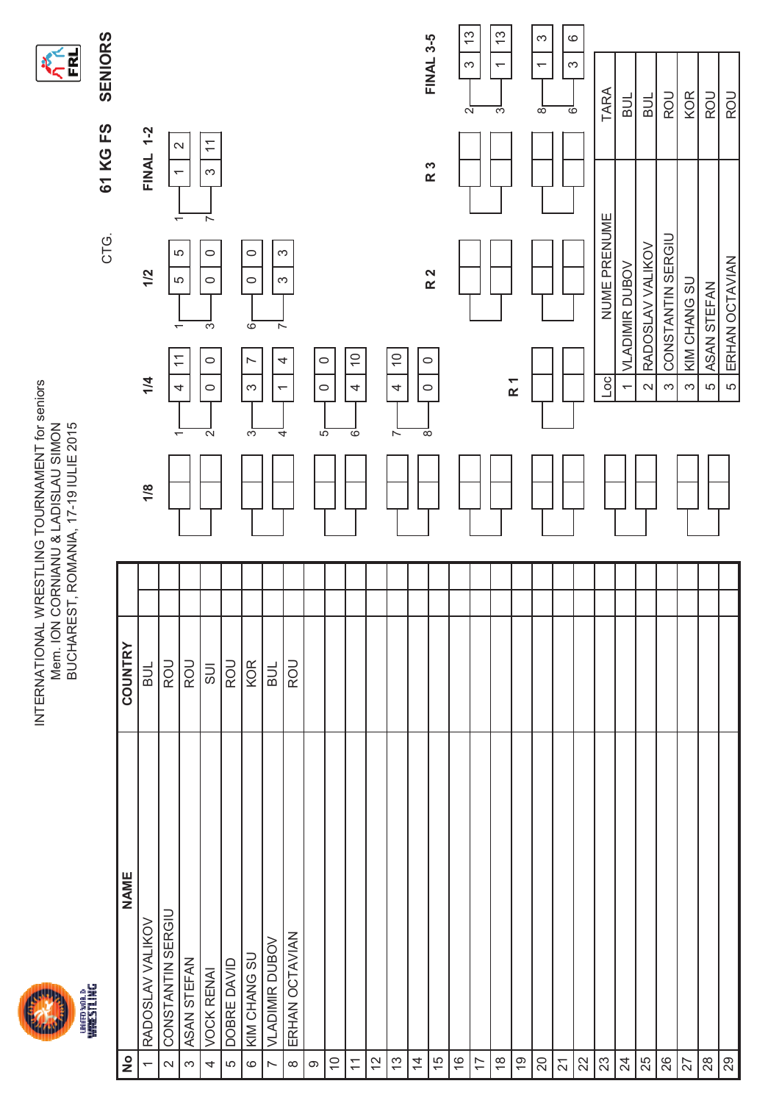



SENIORS CTG. **SENIORS 61 KG FS** CTG.

| $\frac{1}{2}$            | <b>NAME</b>           | COUNTRY    |                          |                               |                                    |                                                    |                                           |
|--------------------------|-----------------------|------------|--------------------------|-------------------------------|------------------------------------|----------------------------------------------------|-------------------------------------------|
| $\overline{ }$           | RADOSLAV VALIKOV      | BUL        | 1/8                      | 1/4                           | 1/2                                | <b>FINAL 1-2</b>                                   |                                           |
| $\mathbf{\sim}$          | CONSTANTIN SERGIU     | ROU        | $\overline{\phantom{0}}$ | $\widetilde{\tau}$<br>4       | 5<br>Ю<br>$\overline{\phantom{0}}$ | $\mathbf{\Omega}$<br>$\overline{\phantom{0}}$<br>٣ |                                           |
| $\infty$                 | ASAN STEFAN           | <b>ROU</b> |                          |                               |                                    |                                                    |                                           |
| 4                        | <b>VOCK RENAI</b>     | <b>UIS</b> | $\sim$                   | $\circ$<br>$\circ$            | $\circ$<br>$\circ$<br>S            | $\overline{\phantom{0}}$<br>S<br>$\overline{ }$    |                                           |
| LO                       | DOBRE DAVID           | <b>ROU</b> |                          |                               |                                    |                                                    |                                           |
| $\circ$                  | KIM CHANG SU          | KOR        | က                        | $\overline{ }$<br>$\infty$    | $\circ$<br>$\circ$<br>$\circ$      |                                                    |                                           |
| $\sim$                   | <b>VLADIMIR DUBOV</b> | BUL        | 4                        | 4<br>$\overline{\phantom{0}}$ | S<br>S<br>$\overline{ }$           |                                                    |                                           |
| $\infty$                 | ERHAN OCTAVIAN        | <b>ROU</b> |                          |                               |                                    |                                                    |                                           |
| $\circ$                  |                       |            | $\overline{5}$           | $\circ$<br>$\circ$            |                                    |                                                    |                                           |
| $\Rightarrow$            |                       |            |                          |                               |                                    |                                                    |                                           |
| $\overline{\mathcal{L}}$ |                       |            | ဖ                        | $\frac{1}{2}$<br>4            |                                    |                                                    |                                           |
| $\tilde{c}$              |                       |            |                          |                               |                                    |                                                    |                                           |
| $\tilde{c}$              |                       |            | $\sim$                   | $\overline{0}$<br>4           |                                    |                                                    |                                           |
| $\overline{4}$           |                       |            | ${}^{\circ}$             | $\circ$<br>$\circ$            |                                    |                                                    |                                           |
| 15                       |                       |            |                          |                               | R <sub>2</sub>                     | R <sub>3</sub>                                     | <b>FINAL 3-5</b>                          |
| $\frac{6}{5}$            |                       |            |                          |                               |                                    |                                                    | $\frac{3}{2}$<br>S<br>$\sim$              |
| 17                       |                       |            |                          |                               |                                    |                                                    |                                           |
| $\frac{8}{1}$            |                       |            |                          |                               |                                    |                                                    | $\frac{3}{2}$<br>$\overline{ }$<br>S      |
| Ó,                       |                       |            |                          | $\overline{R}$ 1              |                                    |                                                    |                                           |
| $\overline{20}$          |                       |            |                          |                               |                                    |                                                    | က<br>$\overline{\phantom{0}}$<br>$\infty$ |
| 21                       |                       |            |                          |                               |                                    |                                                    | $\circ$<br>S<br>ဖ                         |
| $\mathbf{z}$             |                       |            |                          |                               |                                    |                                                    |                                           |
| $23\,$                   |                       |            |                          | $_{\text{loc}}$               | NUME PRENUME                       |                                                    | TARA                                      |
| $\overline{24}$          |                       |            |                          | $\overline{ }$                | <b>VLADIMIR DUBOV</b>              |                                                    | $\frac{1}{2}$                             |
| 25                       |                       |            |                          | $\sim$                        | RADOSLAV VALIKOV                   |                                                    | <b>BUL</b>                                |
| 26                       |                       |            |                          | $\infty$                      | CONSTANTIN SERGIU                  |                                                    | ROU                                       |
| 27                       |                       |            |                          | $\infty$                      | KIM CHANG SU                       |                                                    | <b>KOR</b>                                |
| $28$                     |                       |            |                          | LO                            | ASAN STEFAN                        |                                                    | ROU                                       |
| 29                       |                       |            |                          | LO                            | ERHAN OCTAVIAN                     |                                                    | ROU                                       |
|                          |                       |            |                          |                               |                                    |                                                    |                                           |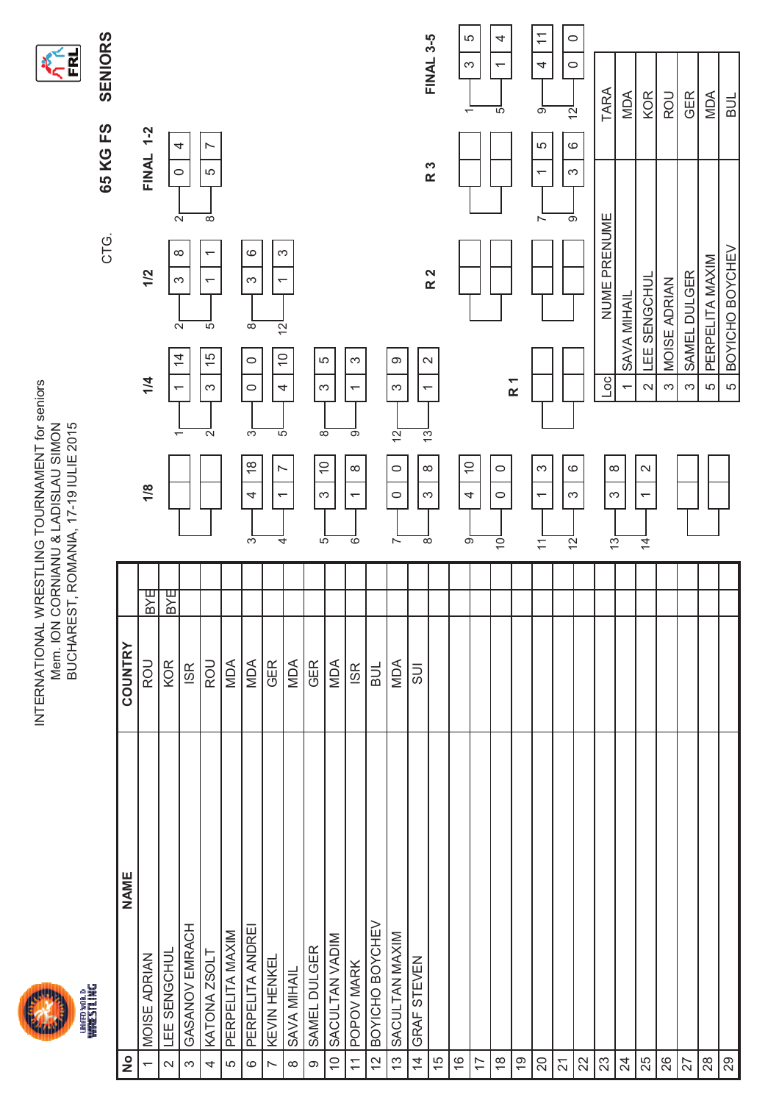



|                                | ŋ<br>i<br>I         |            |     |                                                           |                                               | CTG.                | FS<br>65 KG                                      | SENIORS                              |
|--------------------------------|---------------------|------------|-----|-----------------------------------------------------------|-----------------------------------------------|---------------------|--------------------------------------------------|--------------------------------------|
| $\frac{1}{2}$                  | <b>NAME</b>         | COUNTRY    |     |                                                           |                                               |                     |                                                  |                                      |
| $\overline{ }$                 | <b>MOISE ADRIAN</b> | ROU        | 꾑   | 1/8                                                       | 1/4                                           | 1/2                 | $1-2$<br><b>FINAL</b>                            |                                      |
| $\sim$                         | LEE SENGCHUL        | KOR        | BYE | $\overline{\phantom{0}}$                                  | $\overline{a}$<br>$\overline{\phantom{0}}$    | $\infty$<br>က       | 4<br>$\circ$<br>$\overline{N}$                   |                                      |
| S                              | GASANOV EMRACH      | <b>ISR</b> |     |                                                           | $\stackrel{\text{+}}{\rightarrow}$            |                     |                                                  |                                      |
| 4                              | KATONA ZSOLT        | <b>ROU</b> |     | $\mathbf{\Omega}$                                         | 5<br>15<br>S                                  | ᠇                   | r<br>5<br>$\overline{\infty}$                    |                                      |
| LO                             | PERPELITA MAXIM     | MDA        |     |                                                           |                                               |                     |                                                  |                                      |
| $\circ$                        | PERPELITA ANDREI    | MDA        |     | က<br>$\frac{8}{1}$<br>4<br>က်                             | $\infty$<br>$\circ$<br>$\circ$                | $\circ$<br>S        |                                                  |                                      |
| $\overline{a}$                 | <b>KEVIN HENKEL</b> | <b>GER</b> |     | 5<br>$\overline{ }$<br>$\overline{ }$<br>4                | $\overline{S}$<br>$\overline{C}$<br>4         | S<br>$\overline{ }$ |                                                  |                                      |
| $\infty$                       | SAVA MIHAIL         | MDA        |     |                                                           |                                               |                     |                                                  |                                      |
| $\circ$                        | SAMEL DULGER        | GER        |     | ∞<br>$\widetilde{C}$<br>က<br>ယ်                           | 5<br>က                                        |                     |                                                  |                                      |
| $\widetilde{\mathcal{C}}$      | SACULTAN VADIM      | MDA        |     |                                                           |                                               |                     |                                                  |                                      |
| $\overline{\tau}$              | POPOV MARK          | <b>ISR</b> |     | တ<br>$\infty$<br>$\overline{\phantom{0}}$<br>०            | က<br>$\overline{\phantom{0}}$                 |                     |                                                  |                                      |
| $\tilde{c}$                    | BOYICHO BOYCHEV     | <b>TNB</b> |     |                                                           |                                               |                     |                                                  |                                      |
| $\tilde{\mathfrak{c}}$         | SACULTAN MAXIM      | MDA        |     | $\frac{1}{2}$<br>$\circ$<br>$\circ$<br>Ñ                  | ω<br>S                                        |                     |                                                  |                                      |
| $\overline{4}$                 | GRAF STEVEN         | 5U         |     | <u>ှာ</u><br>$\infty$<br>S<br>$\overline{\infty}$         | $\mathbf{\Omega}$<br>$\overline{\phantom{0}}$ |                     |                                                  |                                      |
| 15                             |                     |            |     |                                                           |                                               | R <sub>2</sub>      | R 3                                              | <b>FINAL 3-5</b>                     |
| $\overset{\circ}{\rightarrow}$ |                     |            |     | $\overline{C}$<br>4<br>ெ                                  |                                               |                     |                                                  | 5<br>က<br>$\overline{\phantom{0}}$   |
| $\overline{\phantom{0}}$       |                     |            |     |                                                           |                                               |                     |                                                  |                                      |
| $\overset{\circ}{\sim}$        |                     |            |     | $\circ$<br>$\circ$<br>$\bar{\circ}$                       |                                               |                     |                                                  | 4<br>$\overline{\phantom{0}}$<br>5   |
| $\overline{6}$                 |                     |            |     |                                                           | R <sub>1</sub>                                |                     |                                                  |                                      |
| $\overline{Q}$                 |                     |            |     | S<br>$\overline{\phantom{0}}$<br>$\overline{\mathcal{L}}$ |                                               |                     | LO<br>$\overline{\phantom{0}}$<br>$\overline{ }$ | $\overline{\mathbf{r}}$<br>4<br>တ    |
|                                |                     |            |     | $\circ$<br>S<br>으                                         |                                               |                     | $\circ$<br>က<br>တ                                | $\circ$<br>$\circ$<br>$\overline{2}$ |
| $\frac{21}{21}$                |                     |            |     |                                                           |                                               |                     |                                                  |                                      |
|                                |                     |            |     | ∞<br>S<br>$\frac{1}{2}$                                   | $\overline{\text{C}}$                         | NUME PRENUME        |                                                  | TARA                                 |
| $\frac{4}{3}$                  |                     |            |     |                                                           | SAVA MIHAIL                                   |                     |                                                  | MDA                                  |
|                                |                     |            |     | $\sim$<br>$\overline{\phantom{0}}$<br>$\overline{4}$      | LEE SENGCHUL<br>$\mathbf{\Omega}$             |                     |                                                  | <b>KOR</b>                           |
| $\frac{8}{8}$                  |                     |            |     |                                                           | <b>MOISE ADRIAN</b><br>S                      |                     |                                                  | ROU                                  |
|                                |                     |            |     |                                                           | SAMEL DULGER<br>က                             |                     |                                                  | <b>GER</b>                           |
| $\frac{8}{2}$                  |                     |            |     |                                                           | PERPELITA MAXIM<br>5                          |                     |                                                  | MDA                                  |
|                                |                     |            |     |                                                           | LO.                                           | BOYICHO BOYCHEV     |                                                  | <b>BUL</b>                           |
|                                |                     |            |     |                                                           |                                               |                     |                                                  |                                      |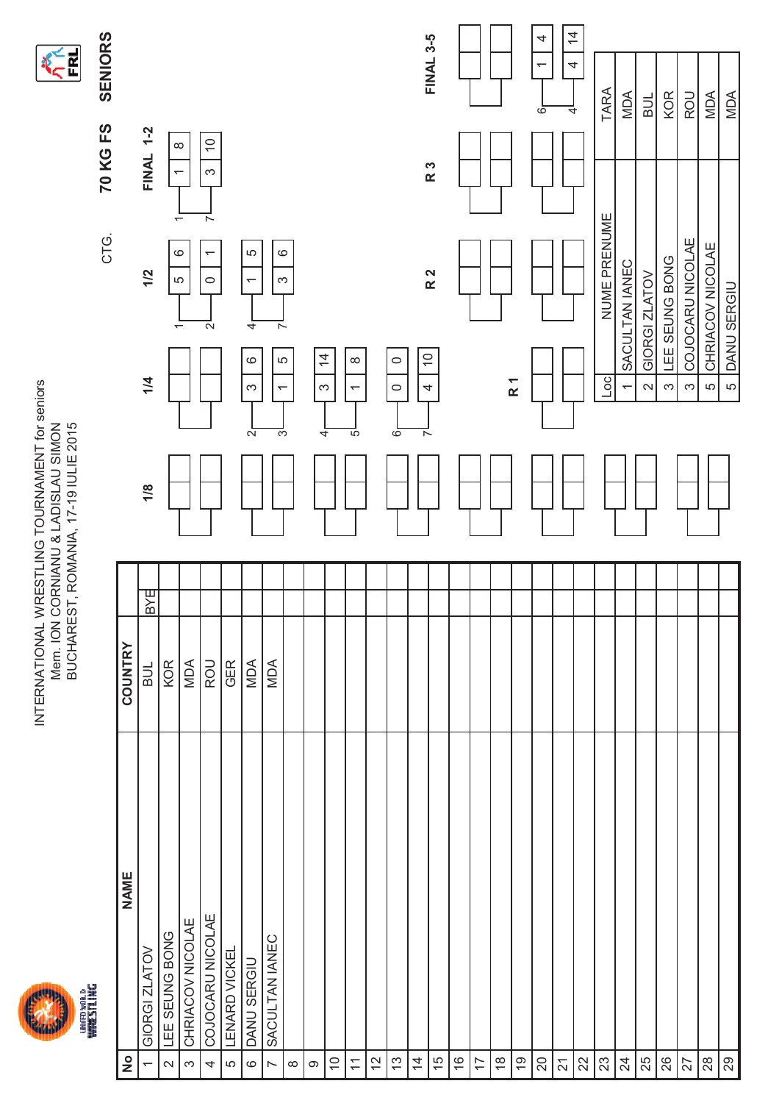



|                                          |                      |                |                |                                           | CTG.                                     | 70 KG FS                             | <b>SENIORS</b>           |
|------------------------------------------|----------------------|----------------|----------------|-------------------------------------------|------------------------------------------|--------------------------------------|--------------------------|
| $\frac{1}{2}$                            | <b>NAME</b>          | <b>COUNTRY</b> |                |                                           |                                          |                                      |                          |
| $\overline{ }$                           | GIORGI ZLATOV        | BYE<br>ыц      | 1/8            | 1/4                                       | 1/2                                      | <b>FINAL 1-2</b>                     |                          |
| $\mathbf{\sim}$                          | LEE SEUNG BONG       | KOR            |                | $\overline{\phantom{0}}$                  | $\overline{ }$<br>$\rm \odot$<br>LO      | $\infty$<br>$\overline{\phantom{0}}$ |                          |
| S                                        | CHRIACOV NICOLAE     | MDA            |                |                                           |                                          |                                      |                          |
| 4                                        | COJOCARU NICOLAE     | <b>ROU</b>     |                | $\mathbf{\Omega}$                         | ᅐ<br>$\overline{\phantom{0}}$<br>$\circ$ | $\overline{0}$<br>$\infty$           |                          |
| LO                                       | <b>LENARD VICKEL</b> | <b>GER</b>     |                |                                           |                                          |                                      |                          |
| $\circ$                                  | DANU SERGIU          | MDA            | $\overline{a}$ | 4<br>$\circ$<br>$\infty$                  | 5<br>$\overline{ }$                      |                                      |                          |
| $\sim$                                   | SACULTAN IANEC       | <b>MDA</b>     | S              | $\sim$<br>LO.<br>$\overline{\phantom{0}}$ | $\circ$<br>S                             |                                      |                          |
| $\infty$                                 |                      |                |                |                                           |                                          |                                      |                          |
| $\circ$                                  |                      |                | 4              | $\overline{4}$<br>S                       |                                          |                                      |                          |
| $\tilde{=}$                              |                      |                |                |                                           |                                          |                                      |                          |
| $\overline{1}$                           |                      |                | 5              | $\infty$<br>$\overline{\phantom{0}}$      |                                          |                                      |                          |
| 57                                       |                      |                |                |                                           |                                          |                                      |                          |
| $\mathrel{\mathop{\mathbb{C}}}\nolimits$ |                      |                | စ              | $\circ$<br>$\circ$                        |                                          |                                      |                          |
| $\overline{4}$                           |                      |                | $\overline{ }$ | $\overline{C}$<br>4                       |                                          |                                      |                          |
| 15                                       |                      |                |                |                                           | R <sub>2</sub>                           | R 3                                  | <b>FINAL 3-5</b>         |
| $\frac{6}{5}$                            |                      |                |                |                                           |                                          |                                      |                          |
| $\overline{1}$                           |                      |                |                |                                           |                                          |                                      |                          |
| $\overset{\circ}{\leftarrow}$            |                      |                |                |                                           |                                          |                                      |                          |
| $\overline{6}$                           |                      |                |                | $\overline{R}$ 1                          |                                          |                                      |                          |
| $20\,$                                   |                      |                |                |                                           |                                          |                                      | 4<br>$\overline{ }$<br>6 |
| $\overline{\mathsf{S}}$                  |                      |                |                |                                           |                                          |                                      | $\frac{4}{3}$<br>4<br>4  |
| $\approx$                                |                      |                |                |                                           |                                          |                                      |                          |
| $23\,$                                   |                      |                |                | ОС                                        | NUME PRENUME                             |                                      | TARA                     |
| $\overline{2}$                           |                      |                |                | $\overline{ }$                            | SACULTAN IANEC                           |                                      | MDA                      |
| 25                                       |                      |                |                | $\sim$                                    | GIORGI ZLATOV                            |                                      | BUL                      |
| 26                                       |                      |                |                | S                                         | LEE SEUNG BONG                           |                                      | KOR                      |
| 27                                       |                      |                |                | က                                         | COJOCARU NICOLAE                         |                                      | ROU                      |
| $28$                                     |                      |                |                | 5                                         | CHRIACOV NICOLAE                         |                                      | MDA                      |
| 29                                       |                      |                |                | DANU SERGIU<br>LO                         |                                          |                                      | MDA                      |
|                                          |                      |                |                |                                           |                                          |                                      |                          |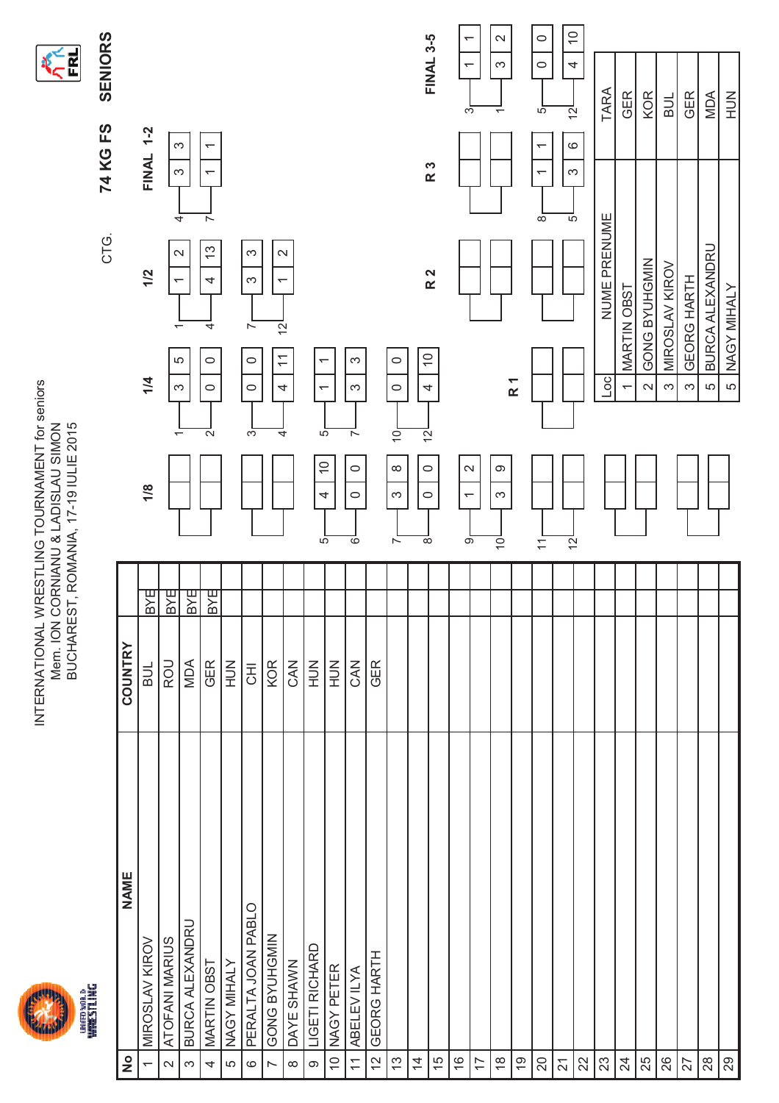



SENIORS CTG. **SENIORS 74 KG FS** CTG.

| $\frac{1}{2}$            | <b>NAME</b>        | COUNTRY                   |            |                                                             |                                                      |                                                       |                                                                        |                                                    |
|--------------------------|--------------------|---------------------------|------------|-------------------------------------------------------------|------------------------------------------------------|-------------------------------------------------------|------------------------------------------------------------------------|----------------------------------------------------|
| $\overline{ }$           | MIROSLAV KIROV     | <b>NB</b>                 | BYE        | 1/8                                                         | 1/4                                                  | 1/2                                                   | <b>FINAL 1-2</b>                                                       |                                                    |
| $\sim$                   | ATOFANI MARIUS     | <b>ROU</b>                | <b>BYE</b> | ↽                                                           | 5<br>က                                               | ↽<br>ᡪ                                                | က<br>S                                                                 |                                                    |
| $\infty$                 | BURCA ALEXANDRU    | MDA                       | BYE        |                                                             |                                                      | $\sim$                                                | 4                                                                      |                                                    |
| 4                        | MARTIN OBST        | <b>GER</b>                | <b>BYE</b> | $\mathbf{\Omega}$                                           | $\circ$<br>$\circ$                                   | 13<br>4<br>4                                          | $\overline{\phantom{0}}$<br>$\overline{\phantom{0}}$<br>$\overline{ }$ |                                                    |
| LO                       | NAGY MIHALY        | $\leq$                    |            |                                                             |                                                      |                                                       |                                                                        |                                                    |
| $\circ$                  | PERALTA JOAN PABLO | $\overline{\overline{5}}$ |            | က                                                           | $\circ$<br>$\circ$                                   | က<br>S<br>$\sim$                                      |                                                                        |                                                    |
| $\sim$                   | GONG BYUHGMIN      | KOR                       |            | 4                                                           | $\overline{\phantom{0}}$<br>4                        | $\mathbf{\Omega}$<br>$\overline{ }$<br>$\overline{S}$ |                                                                        |                                                    |
| $\infty$                 | DAYE SHAWN         | CAN                       |            |                                                             |                                                      |                                                       |                                                                        |                                                    |
| $\circ$                  | LIGETI RICHARD     | $\leq$                    |            | 5<br>$\frac{0}{1}$<br>4<br>ယ်                               | $\overline{\phantom{0}}$<br>$\overline{\phantom{0}}$ |                                                       |                                                                        |                                                    |
| $\Rightarrow$            | NAGY PETER         | $\frac{2}{1}$             |            |                                                             |                                                      |                                                       |                                                                        |                                                    |
| $\overline{1}$           | ABELEV ILYA        | CAN                       |            | $\sim$<br>$\circ$<br>$\circ$<br>$\overline{\circ}$          | S<br>S                                               |                                                       |                                                                        |                                                    |
| 12                       | <b>GEORG HARTH</b> | GER                       |            |                                                             |                                                      |                                                       |                                                                        |                                                    |
| 13                       |                    |                           |            | $\dot{\circ}$<br>$\infty$<br>S<br>$\sim$                    | $\circ$<br>$\circ$                                   |                                                       |                                                                        |                                                    |
| $\overline{4}$           |                    |                           |            | $\overline{S}$<br>$\circ$<br>$\circ$<br>$\overline{\infty}$ | $\overline{0}$<br>4                                  |                                                       |                                                                        |                                                    |
| 15                       |                    |                           |            |                                                             |                                                      | R <sub>2</sub>                                        | R 3                                                                    | <b>FINAL 3-5</b>                                   |
| $\frac{6}{5}$            |                    |                           |            | $\sim$<br>$\overline{ }$<br>$\overline{\circ}$              |                                                      |                                                       |                                                                        | $\overline{ }$<br>$\overline{\phantom{0}}$<br>S    |
| 17                       |                    |                           |            |                                                             |                                                      |                                                       |                                                                        |                                                    |
| $\frac{8}{1}$            |                    |                           |            | တ<br>S<br>$\overline{O}$                                    |                                                      |                                                       |                                                                        | $\mathbf{\Omega}$<br>S<br>$\overline{\phantom{0}}$ |
| $\overline{9}$           |                    |                           |            |                                                             | R <sub>1</sub>                                       |                                                       |                                                                        |                                                    |
| $\overline{20}$          |                    |                           |            | $\overline{\mathbf{r}}$                                     |                                                      |                                                       | $\overline{\phantom{0}}$<br>$\overline{ }$<br>$\infty$                 | $\circ$<br>$\circ$<br>5                            |
| $\overline{\mathcal{S}}$ |                    |                           |            | $\overline{2}$                                              |                                                      |                                                       | $\circ$<br>S<br>5                                                      | $\widetilde{\phantom{a}}$<br>4<br>$\overline{5}$   |
| $\mathbf{z}$             |                    |                           |            |                                                             |                                                      |                                                       |                                                                        |                                                    |
| $23\,$                   |                    |                           |            |                                                             | $\overline{5}$                                       | NUME PRENUME                                          |                                                                        | TARA                                               |
| $\overline{24}$          |                    |                           |            |                                                             | ۳                                                    | <b>MARTIN OBST</b>                                    |                                                                        | GER                                                |
| 25                       |                    |                           |            |                                                             | $\mathbf{\Omega}$                                    | GONG BYUHGMIN                                         |                                                                        | <b>KOR</b>                                         |
| 26                       |                    |                           |            |                                                             | S                                                    | MIROSLAV KIROV                                        |                                                                        | BUL                                                |
| 27                       |                    |                           |            |                                                             | က                                                    | <b>GEORG HARTH</b>                                    |                                                                        | <b>GER</b>                                         |
| $28$                     |                    |                           |            |                                                             | 5                                                    | <b>BURCA ALEXANDRU</b>                                |                                                                        | MDA                                                |
| $\infty$                 |                    |                           |            |                                                             | LO                                                   | NAGY MIHALY                                           |                                                                        | $\frac{2}{3}$                                      |
|                          |                    |                           |            |                                                             |                                                      |                                                       |                                                                        |                                                    |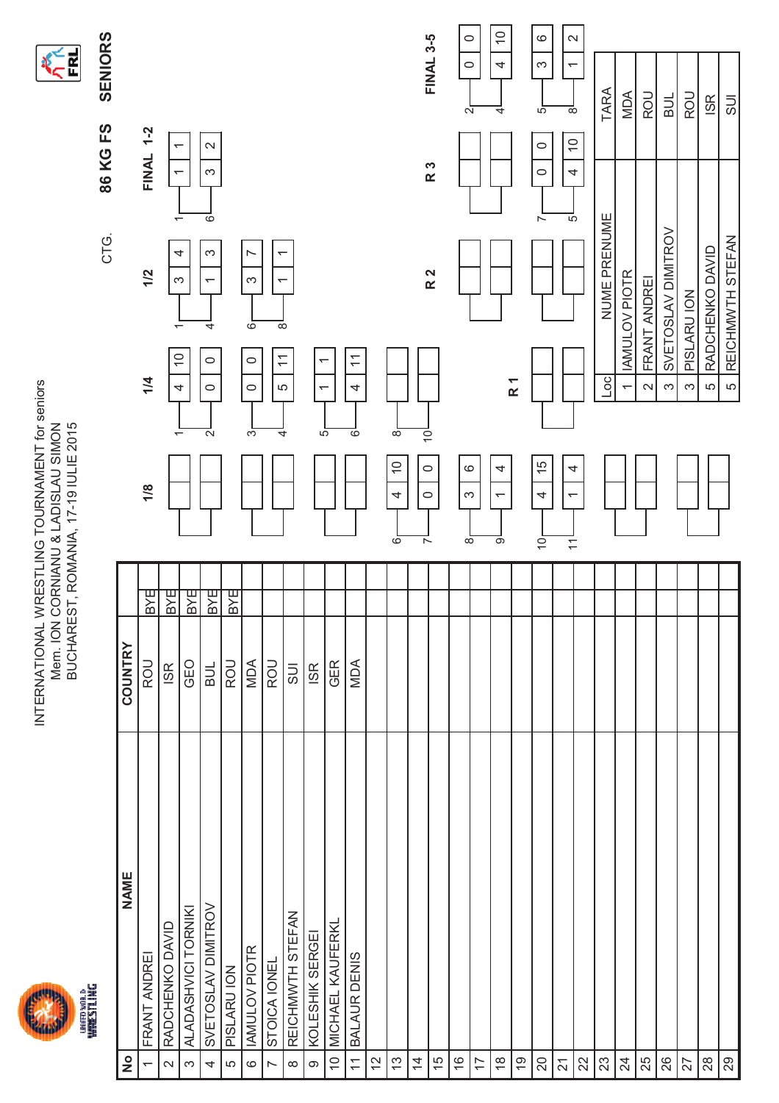



SENIORS CTG. **SENIORS 86 KG FS** CTG.

|                | FINAL 1-2<br>1/2<br>1/4 | $\overline{\phantom{0}}$<br>4<br>ო<br>᠆<br>$\overline{0}$<br>4 |                     | ०<br>က<br>$\overline{\phantom{0}}$<br>4<br>$\circ$<br>$\circ$ |             | r<br>S<br>$\overline{6}$<br>$\circ$<br>$\circ$ | $\overline{ }$<br>$\widetilde{\mathcal{L}}$ | $\overline{\phantom{0}}$<br>$\infty$<br>5 | $\overline{\phantom{0}}$<br>$\overline{\phantom{0}}$ |                         | $\widetilde{\mathcal{L}}$<br>4 |                                                 |                                           | R 2 |                          |   |                                                     | R <sub>1</sub> | ΙĀ.                  | 5                             | NUME PRENUME<br>oc] | <b>IAMULOV PIOTR</b><br>$\overline{ }$ | FRANT ANDREI<br>$\sim$ | SVETOSLAV DIMITROV<br>S | PISLARU ION<br>က |  |
|----------------|-------------------------|----------------------------------------------------------------|---------------------|---------------------------------------------------------------|-------------|------------------------------------------------|---------------------------------------------|-------------------------------------------|------------------------------------------------------|-------------------------|--------------------------------|-------------------------------------------------|-------------------------------------------|-----|--------------------------|---|-----------------------------------------------------|----------------|----------------------|-------------------------------|---------------------|----------------------------------------|------------------------|-------------------------|------------------|--|
|                | 1/8                     |                                                                |                     | $\mathbf{\Omega}$                                             |             | S                                              |                                             | 4                                         | 5                                                    |                         | 6                              | $\infty$<br>$\widetilde{\phantom{a}}$<br>4<br>6 | $\overline{Q}$<br>$\circ$<br>$\circ$<br>ᅐ |     | $\circ$<br>$\frac{1}{2}$ | S | 4<br>$\overline{\phantom{0}}$<br>$\overline{\circ}$ |                | 15<br>4<br>$\dot{0}$ | 4<br>$\overline{\phantom{0}}$ |                     |                                        |                        |                         |                  |  |
|                | BYE                     | BYE                                                            | lBYE                | <b>BYE</b>                                                    | BYE         |                                                |                                             |                                           |                                                      |                         |                                |                                                 |                                           |     |                          |   |                                                     |                |                      |                               |                     |                                        |                        |                         |                  |  |
|                |                         |                                                                |                     |                                                               |             |                                                |                                             |                                           |                                                      |                         |                                |                                                 |                                           |     |                          |   |                                                     |                |                      |                               |                     |                                        |                        |                         |                  |  |
| <b>COUNTRY</b> | ROU                     | <b>ISR</b>                                                     | GEO                 | <b>BUL</b>                                                    | <b>ROU</b>  | MDA                                            | <b>ROU</b>                                  | SUI                                       | <b>ISR</b>                                           | <b>GER</b>              | MDA                            |                                                 |                                           |     |                          |   |                                                     |                |                      |                               |                     |                                        |                        |                         |                  |  |
|                |                         |                                                                |                     |                                                               |             |                                                |                                             |                                           |                                                      |                         |                                |                                                 |                                           |     |                          |   |                                                     |                |                      |                               |                     |                                        |                        |                         |                  |  |
| <b>NAME</b>    | FRANT ANDREI            | RADCHENKO DAVID                                                | ALADASHVICI TORNIKI | SVETOSLAV DIMITROV                                            | PISLARU ION | <b>IAMULOV PIOTR</b>                           | STOICA IONEL                                | REICHMWTH STEFAN                          | KOLESHIK SERGEI                                      | <b>MICHAEL KAUFERKL</b> | BALAUR DENIS                   |                                                 |                                           |     |                          |   |                                                     |                |                      |                               |                     |                                        |                        |                         |                  |  |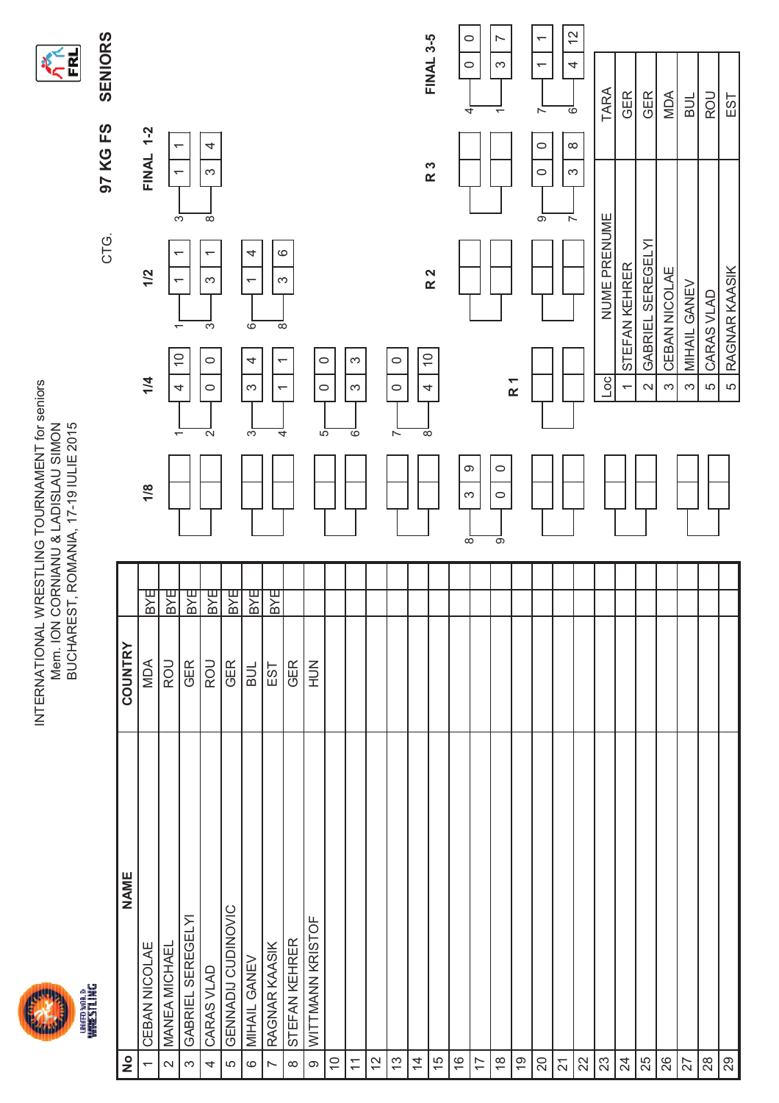



| <b>NAME</b>         |            |            |                         |                                                            |                                                                                                    |                                                                                                                            |                                                                        |
|---------------------|------------|------------|-------------------------|------------------------------------------------------------|----------------------------------------------------------------------------------------------------|----------------------------------------------------------------------------------------------------------------------------|------------------------------------------------------------------------|
|                     | COUNTRY    |            |                         |                                                            |                                                                                                    |                                                                                                                            |                                                                        |
| CEBAN NICOLAE       | MDA        | <b>BXE</b> | 1/8                     | 1/4                                                        | 1/2                                                                                                | <b>FINAL 1-2</b>                                                                                                           |                                                                        |
| MANEA MICHAEL       | ROU        | <b>BXE</b> |                         | $\widetilde{\phantom{a}}$<br>4<br>$\overline{\phantom{0}}$ | ↽<br>$\overline{\phantom{0}}$<br>$\overline{\phantom{0}}$                                          | $\overline{\phantom{0}}$<br>$\overline{\phantom{0}}$<br>$\overline{3}$                                                     |                                                                        |
| GABRIEL SEREGELYI   | <b>GER</b> | <b>BYE</b> |                         |                                                            |                                                                                                    |                                                                                                                            |                                                                        |
| CARAS VLAD          | <b>ROU</b> | BYE        |                         | $\circ$<br>$\circ$<br>$\mathbf{\Omega}$                    | $\overline{ }$<br>S<br>$\overline{\mathfrak{c}}$                                                   | 4<br>S<br>$\infty$                                                                                                         |                                                                        |
| GENNADIJ CUDINOVIC  | <b>GER</b> | <b>BXE</b> |                         |                                                            |                                                                                                    |                                                                                                                            |                                                                        |
| <b>MIHAIL GANEV</b> | BUL        | <b>BXE</b> |                         | 4<br>S<br>က်                                               | 4<br>$\overline{\phantom{0}}$<br>6                                                                 |                                                                                                                            |                                                                        |
| RAGNAR KAASIK       | EST        | BYE        |                         | $\overline{ }$<br>$\overline{\phantom{0}}$<br>4            | $\circ$<br>S<br>$\overline{\infty}$                                                                |                                                                                                                            |                                                                        |
| STEFAN KEHRER       | <b>GER</b> |            |                         |                                                            |                                                                                                    |                                                                                                                            |                                                                        |
| WITTMANN KRISTOF    | $\leq$     |            |                         |                                                            |                                                                                                    |                                                                                                                            |                                                                        |
|                     |            |            |                         |                                                            |                                                                                                    |                                                                                                                            |                                                                        |
|                     |            |            |                         | က<br>S<br>०                                                |                                                                                                    |                                                                                                                            |                                                                        |
|                     |            |            |                         |                                                            |                                                                                                    |                                                                                                                            |                                                                        |
|                     |            |            |                         | $\circ$<br>$\circ$<br>$\overline{\phantom{a}}$             |                                                                                                    |                                                                                                                            |                                                                        |
|                     |            |            |                         |                                                            |                                                                                                    |                                                                                                                            |                                                                        |
|                     |            |            |                         |                                                            |                                                                                                    |                                                                                                                            | <b>FINAL 3-5</b>                                                       |
|                     |            |            |                         |                                                            |                                                                                                    |                                                                                                                            | $\circ$<br>$\circ$<br>4                                                |
|                     |            |            |                         |                                                            |                                                                                                    |                                                                                                                            |                                                                        |
|                     |            |            | $\circ$<br>$\circ$<br>တ |                                                            |                                                                                                    |                                                                                                                            | r<br>S<br>$\overline{ }$                                               |
|                     |            |            |                         |                                                            |                                                                                                    |                                                                                                                            |                                                                        |
|                     |            |            |                         |                                                            |                                                                                                    | $\circ$<br>$\circ$<br>$\overline{\sigma}$                                                                                  | $\overline{ }$<br>$\overline{\phantom{0}}$<br>$\overline{\phantom{a}}$ |
|                     |            |            |                         |                                                            |                                                                                                    |                                                                                                                            | $\frac{2}{3}$<br>4<br>$\circ$                                          |
|                     |            |            |                         |                                                            |                                                                                                    |                                                                                                                            |                                                                        |
|                     |            |            |                         | ос                                                         |                                                                                                    |                                                                                                                            | TARA                                                                   |
|                     |            |            |                         | ↽                                                          |                                                                                                    |                                                                                                                            | <b>GER</b>                                                             |
|                     |            |            |                         | $\mathbf{\Omega}$                                          |                                                                                                    |                                                                                                                            | GER                                                                    |
|                     |            |            |                         | က                                                          |                                                                                                    |                                                                                                                            | <b>MDA</b>                                                             |
|                     |            |            |                         | က                                                          |                                                                                                    |                                                                                                                            | <b>BUL</b>                                                             |
|                     |            |            |                         | LO                                                         |                                                                                                    |                                                                                                                            | ROU                                                                    |
|                     |            |            |                         | $\overline{c}$                                             |                                                                                                    |                                                                                                                            | EST                                                                    |
|                     |            |            |                         | တ<br>S<br>$\overline{\infty}$                              | $\widetilde{\phantom{a}}$<br>$\circ$<br>R <sub>1</sub><br>$\circ$<br>4<br>5<br>$\overline{\infty}$ | GABRIEL SEREGELY<br>STEFAN KEHRER<br>CEBAN NICOLAE<br>RAGNAR KAASIK<br>R <sub>2</sub><br><b>MIHAIL GANEV</b><br>CARAS VLAD | $\infty$<br>R 3<br>S<br>NUME PRENUME<br>$\overline{ }$                 |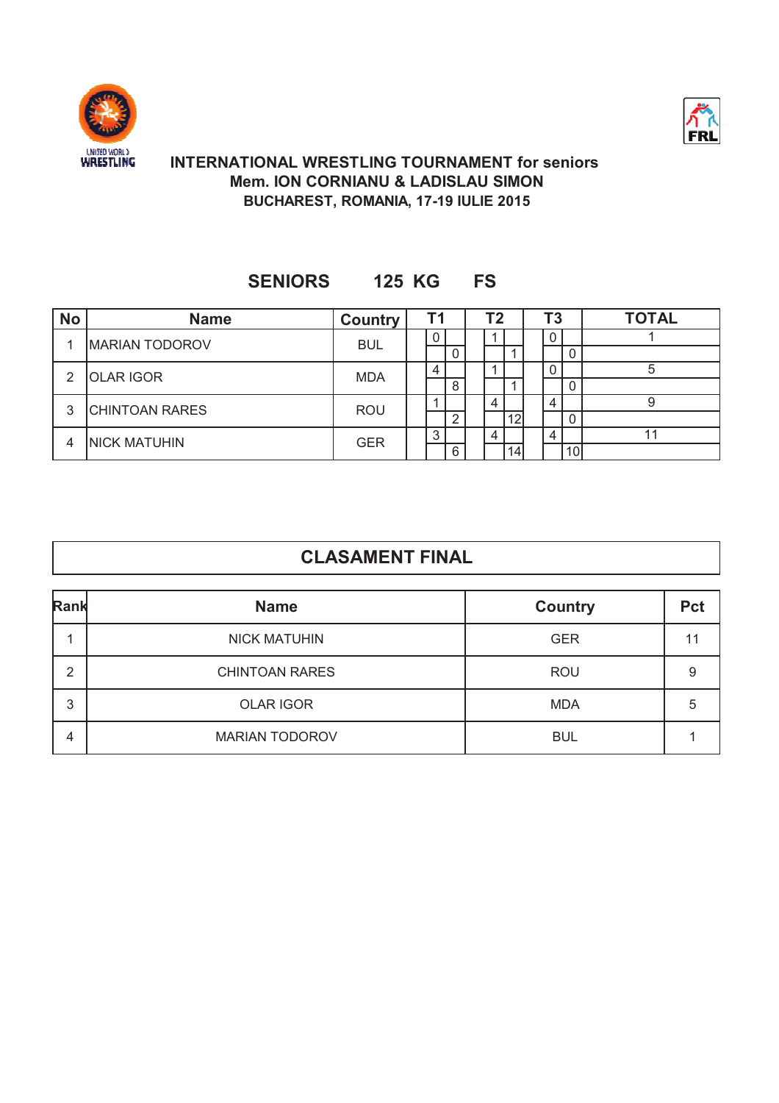



### **Mem. ION CORNIANU & LADISLAU SIMON BUCHAREST, ROMANIA, 17-19 IULIE 2015 INTERNATIONAL WRESTLING TOURNAMENT for seniors**

### **SENIORS 125 KG FS**

| <b>No</b> | <b>Name</b>           | <b>Country</b> | T1 |   | Τ2 |    | Τ3 |                 | <b>TOTAL</b> |
|-----------|-----------------------|----------------|----|---|----|----|----|-----------------|--------------|
|           | <b>MARIAN TODOROV</b> | <b>BUL</b>     |    |   |    |    | υ  |                 |              |
|           |                       |                |    |   |    |    |    | 0               |              |
| 2         | <b>OLAR IGOR</b>      | <b>MDA</b>     |    |   |    |    |    |                 |              |
|           |                       |                |    | 8 |    |    |    | 0               |              |
| 3         | <b>CHINTOAN RARES</b> | <b>ROU</b>     |    |   |    |    | 4  |                 |              |
|           |                       |                |    | ົ |    | 12 |    | 0               |              |
| 4         | <b>INICK MATUHIN</b>  |                |    |   |    |    |    |                 |              |
|           |                       | <b>GER</b>     |    | 6 |    | 14 |    | 10 <sup>1</sup> |              |

| Rank | <b>Name</b>           | <b>Country</b> | <b>Pct</b> |
|------|-----------------------|----------------|------------|
|      | <b>NICK MATUHIN</b>   | <b>GER</b>     | 11         |
| 2    | <b>CHINTOAN RARES</b> | <b>ROU</b>     | 9          |
| 3    | <b>OLAR IGOR</b>      | <b>MDA</b>     | 5          |
| 4    | <b>MARIAN TODOROV</b> | <b>BUL</b>     |            |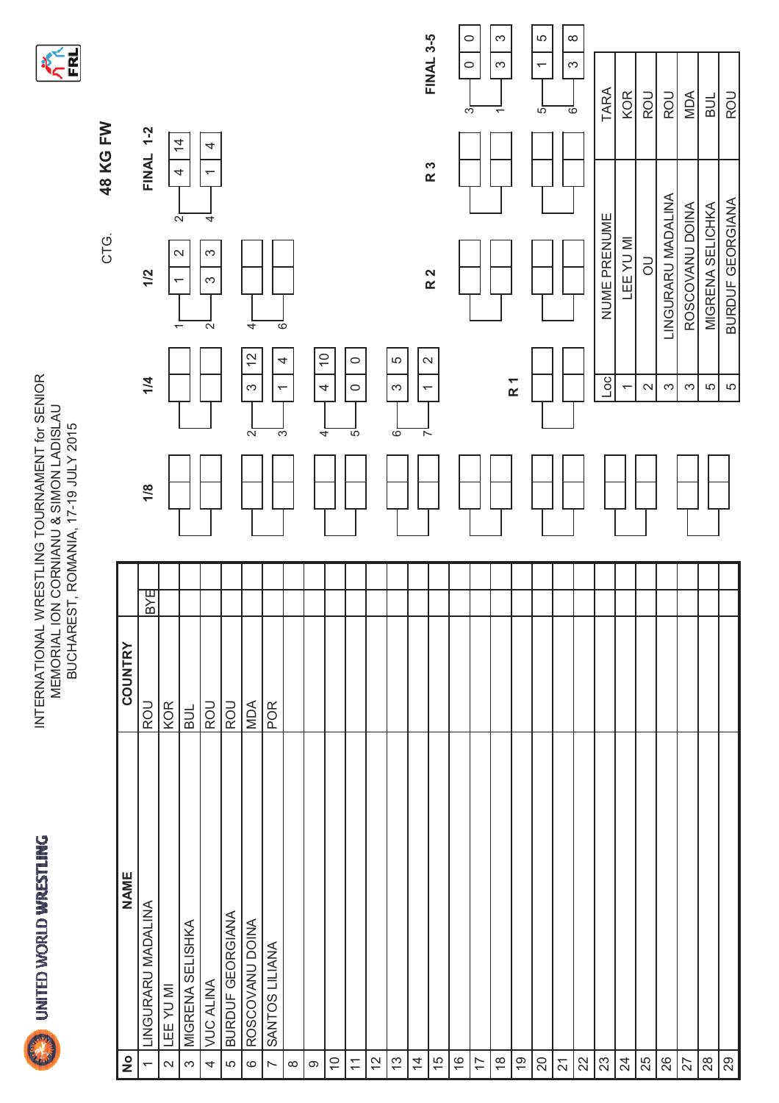

INTERNATIONAL WRESTLING TOURNAMENT for SENIOR<br>MEMORIAL ION CORNIANU & SIMON LADISLAU<br>BUCHAREST, ROMANIA, 17-19 JULY 2015 INTERNATIONAL WRESTLING TOURNAMENT for SENIORMEMORIAL ION CORNIANU & SIMON LADISLAU BUCHAREST, ROMANIA, 17-19 JULY 2015



|                          |                    |                |          |                                                    | CTG.                                     | 48 KG FW                             |                                     |  |
|--------------------------|--------------------|----------------|----------|----------------------------------------------------|------------------------------------------|--------------------------------------|-------------------------------------|--|
| $\frac{1}{2}$            | <b>NAME</b>        | <b>COUNTRY</b> |          |                                                    |                                          |                                      |                                     |  |
| $\overline{\phantom{0}}$ | LINGURARU MADALINA | <b>IROU</b>    | BYE<br>B | 1/4<br>1/8                                         | 1/2                                      | <b>FINAL 1-2</b>                     |                                     |  |
| $\sim$                   | LEE YU MI          | <b>KOR</b>     |          |                                                    | ↽                                        |                                      |                                     |  |
| $\infty$                 | MIGRENA SELISHKA   | BUL            |          |                                                    | $\sim$<br>$\overline{\phantom{0}}$       | $\frac{4}{4}$<br>4<br>$\overline{a}$ |                                     |  |
| 4                        | <b>VULA ALINA</b>  | ROU            |          |                                                    | S<br>$\infty$<br>$\overline{\mathsf{N}}$ | 4<br>$\overline{\phantom{0}}$<br>4   |                                     |  |
| LO                       | BURDUF GEORGIANA   | ROU            |          |                                                    |                                          |                                      |                                     |  |
| $\circ$                  | ROSCOVANU DOINA    | <b>NOW</b>     |          | $\tilde{c}$<br>$\infty$<br>$\overline{N}$          | 4                                        |                                      |                                     |  |
| $\overline{a}$           | SANTOS LILIANA     | POR            |          | $\leftarrow$<br>ె                                  | ळ                                        |                                      |                                     |  |
| $\infty$                 |                    |                |          | 4                                                  |                                          |                                      |                                     |  |
| $\infty$                 |                    |                |          | $\overline{C}$<br>$\overline{\mathcal{A}}$<br>ᢋ    |                                          |                                      |                                     |  |
| $\tilde{=}$              |                    |                |          |                                                    |                                          |                                      |                                     |  |
| $\overline{\mathcal{L}}$ |                    |                |          | $\circ$<br>$\circ$<br>5                            |                                          |                                      |                                     |  |
| $\overline{c}$           |                    |                |          |                                                    |                                          |                                      |                                     |  |
| $\tilde{\omega}$         |                    |                |          | LO.<br>$\infty$<br>6                               |                                          |                                      |                                     |  |
| $\overline{4}$           |                    |                |          | $\mathbf{\Omega}$<br>$\overline{\phantom{0}}$<br>ᅐ |                                          |                                      |                                     |  |
| $\frac{5}{2}$            |                    |                |          |                                                    | R <sub>2</sub>                           | R 3                                  | <b>FINAL 3-5</b>                    |  |
| $\frac{6}{5}$            |                    |                |          |                                                    |                                          |                                      | $\circ$<br>$\circ$<br>S             |  |
| $\overline{1}$           |                    |                |          |                                                    |                                          |                                      |                                     |  |
| $\frac{8}{1}$            |                    |                |          |                                                    |                                          |                                      | S<br>S<br>$\overline{ }$            |  |
| 67                       |                    |                |          | R <sub>1</sub>                                     |                                          |                                      |                                     |  |
| $\gtrsim$                |                    |                |          |                                                    |                                          |                                      | LO<br>$\overline{\phantom{0}}$<br>5 |  |
| $\overline{z}$           |                    |                |          |                                                    |                                          |                                      | $\infty$<br>S<br>$\circ$            |  |
| $\Omega$                 |                    |                |          |                                                    |                                          |                                      |                                     |  |
| $23\,$                   |                    |                |          | $\overline{5}$                                     | NUME PRENUME                             |                                      | TARA                                |  |
| $\overline{2}$           |                    |                |          | $\overline{\phantom{0}}$                           | <b>LEEYUMI</b>                           |                                      | KOR                                 |  |
| 25                       |                    |                |          | $\mathbf{\sim}$                                    | $\overline{a}$                           |                                      | ROU                                 |  |
| 26                       |                    |                |          | S                                                  | LINGURARU MADALINA                       |                                      | ROU                                 |  |
| 27                       |                    |                |          | က                                                  | ROSCOVANU DOINA                          |                                      | MDA                                 |  |
| $28$                     |                    |                |          | Ю                                                  | MIGRENA SELICHKA                         |                                      | <b>BUL</b>                          |  |
| $\infty$                 |                    |                |          | 5                                                  | <b>BURDUF GEORGIANA</b>                  |                                      | ROU                                 |  |
|                          |                    |                |          |                                                    |                                          |                                      |                                     |  |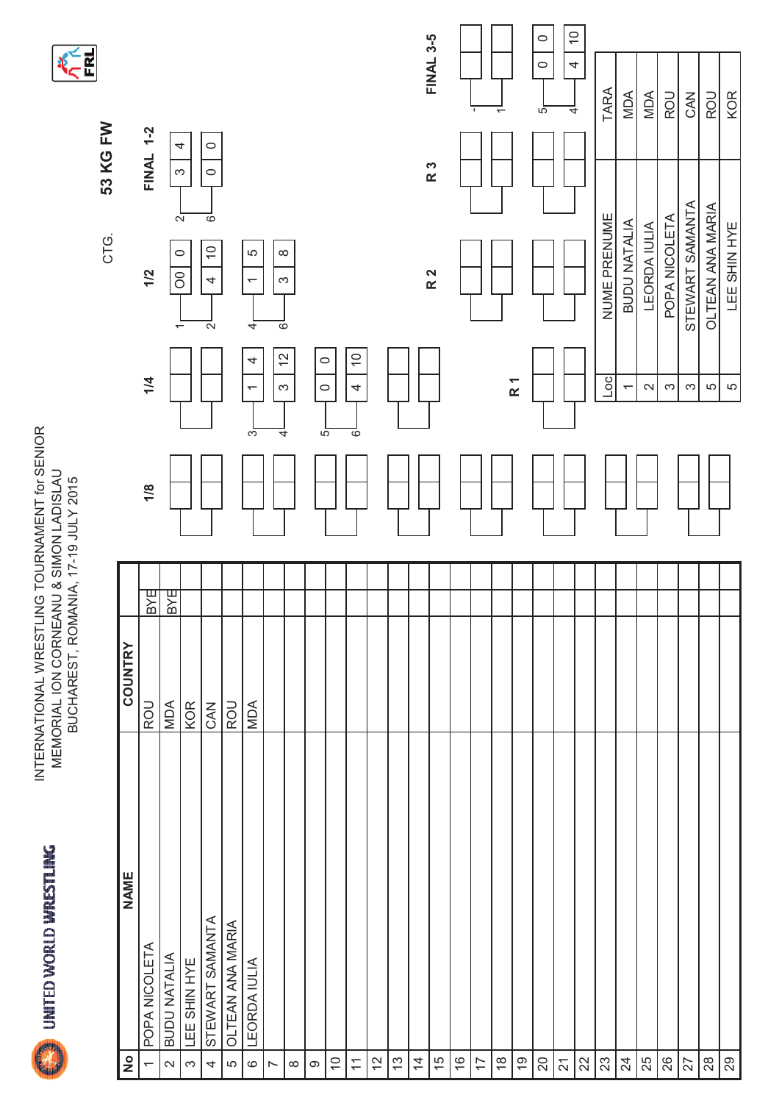UNITED WORLD WRESTLING

INTERNATIONAL WRESTLING TOURNAMENT for SENIOR<br>MEMORIAL ION CORNEANU & SIMON LADISLAU<br>BUCHAREST, ROMANIA, 17-19 JULY 2015 INTERNATIONAL WRESTLING TOURNAMENT for SENIOR MEMORIAL ION CORNEANU & SIMON LADISLAU BUCHAREST, ROMANIA, 17-19 JULY 2015

**KERT** 

| <b>NAME</b><br>STEWART SAMANTA<br>OLTEAN ANA MARIA<br>POPA NICOLETA<br>BUDU NATALIA<br>LEE SHIN HYE<br>LEORDA IULIA<br>$\frac{1}{2}$<br>Q)<br>$\widetilde{C}$<br>15<br>$\frac{6}{5}$<br>$\frac{\infty}{\infty}$<br>$\infty$<br>$22$<br>23<br>$\overline{24}$<br>$\frac{2}{3}$<br>13<br>$\overline{4}$<br>$\overline{1}$<br>$\overline{\overline{1}}$<br>$\overline{\mathcal{S}}$<br>$\overline{\mathsf{C}}$<br>4<br>S<br>$\circ$<br>$\infty$<br>$\infty$<br>LO | COUNTRY<br><b>NDA</b><br><b>KOR</b><br>ROU<br>CAN | 1/8<br><b>BYE</b> |                                    |                                                           | <b>FINAL 1-2</b>              |                                      |
|----------------------------------------------------------------------------------------------------------------------------------------------------------------------------------------------------------------------------------------------------------------------------------------------------------------------------------------------------------------------------------------------------------------------------------------------------------------|---------------------------------------------------|-------------------|------------------------------------|-----------------------------------------------------------|-------------------------------|--------------------------------------|
|                                                                                                                                                                                                                                                                                                                                                                                                                                                                |                                                   |                   |                                    |                                                           |                               |                                      |
|                                                                                                                                                                                                                                                                                                                                                                                                                                                                |                                                   |                   | 1/4                                | 1/2                                                       |                               |                                      |
|                                                                                                                                                                                                                                                                                                                                                                                                                                                                |                                                   | <b>BYE</b>        |                                    | $\circ$<br><sup>o</sup><br>$\overline{\phantom{0}}$       | S                             |                                      |
|                                                                                                                                                                                                                                                                                                                                                                                                                                                                |                                                   |                   |                                    |                                                           | 4<br>$\sim$                   |                                      |
|                                                                                                                                                                                                                                                                                                                                                                                                                                                                |                                                   |                   |                                    | $\widetilde{\phantom{a}}$<br>4<br>$\overline{\mathsf{N}}$ | $\circ$<br>$\circ$<br>$\circ$ |                                      |
|                                                                                                                                                                                                                                                                                                                                                                                                                                                                | ROU                                               |                   |                                    |                                                           |                               |                                      |
|                                                                                                                                                                                                                                                                                                                                                                                                                                                                | <b>NOA</b>                                        |                   | 4<br>$\overline{\phantom{0}}$<br>ో | LO<br>$\overline{\phantom{0}}$<br>4                       |                               |                                      |
|                                                                                                                                                                                                                                                                                                                                                                                                                                                                |                                                   |                   | $\tilde{c}$<br>$\infty$            | $\infty$<br>$\infty$<br>०                                 |                               |                                      |
|                                                                                                                                                                                                                                                                                                                                                                                                                                                                |                                                   |                   | 4                                  |                                                           |                               |                                      |
|                                                                                                                                                                                                                                                                                                                                                                                                                                                                |                                                   |                   | $\circ$<br>$\circ$<br>5            |                                                           |                               |                                      |
|                                                                                                                                                                                                                                                                                                                                                                                                                                                                |                                                   |                   |                                    |                                                           |                               |                                      |
|                                                                                                                                                                                                                                                                                                                                                                                                                                                                |                                                   |                   | $\overline{C}$<br>4<br>ळ           |                                                           |                               |                                      |
|                                                                                                                                                                                                                                                                                                                                                                                                                                                                |                                                   |                   |                                    |                                                           |                               |                                      |
|                                                                                                                                                                                                                                                                                                                                                                                                                                                                |                                                   |                   |                                    |                                                           |                               |                                      |
|                                                                                                                                                                                                                                                                                                                                                                                                                                                                |                                                   |                   |                                    |                                                           |                               |                                      |
|                                                                                                                                                                                                                                                                                                                                                                                                                                                                |                                                   |                   |                                    | R <sub>2</sub>                                            | R 3                           | <b>FINAL 3-5</b>                     |
|                                                                                                                                                                                                                                                                                                                                                                                                                                                                |                                                   |                   |                                    |                                                           |                               |                                      |
|                                                                                                                                                                                                                                                                                                                                                                                                                                                                |                                                   |                   |                                    |                                                           |                               | $\mathbf I$                          |
|                                                                                                                                                                                                                                                                                                                                                                                                                                                                |                                                   |                   |                                    |                                                           |                               | $\overline{ }$                       |
|                                                                                                                                                                                                                                                                                                                                                                                                                                                                |                                                   |                   | R <sub>1</sub>                     |                                                           |                               |                                      |
|                                                                                                                                                                                                                                                                                                                                                                                                                                                                |                                                   |                   |                                    |                                                           |                               | $\circ$<br>$\circ$<br>$\overline{5}$ |
|                                                                                                                                                                                                                                                                                                                                                                                                                                                                |                                                   |                   |                                    |                                                           |                               | $\overline{0}$<br>4<br>4             |
|                                                                                                                                                                                                                                                                                                                                                                                                                                                                |                                                   |                   |                                    |                                                           |                               |                                      |
|                                                                                                                                                                                                                                                                                                                                                                                                                                                                |                                                   |                   | Loc                                | NUME PRENUME                                              |                               | <b>TARA</b>                          |
|                                                                                                                                                                                                                                                                                                                                                                                                                                                                |                                                   |                   | $\overline{\phantom{0}}$           | <b>BUDU NATALIA</b>                                       |                               | MDA                                  |
|                                                                                                                                                                                                                                                                                                                                                                                                                                                                |                                                   |                   | $\sim$                             | <b>LEORDA IULIA</b>                                       |                               | MDA                                  |
|                                                                                                                                                                                                                                                                                                                                                                                                                                                                |                                                   |                   | S                                  | POPA NICOLETA                                             |                               | ROU                                  |
|                                                                                                                                                                                                                                                                                                                                                                                                                                                                |                                                   |                   | S                                  | STEWART SAMANTA                                           |                               | CAN                                  |
|                                                                                                                                                                                                                                                                                                                                                                                                                                                                |                                                   |                   | 5                                  | OLTEAN ANA MARIA                                          |                               | ROU                                  |
|                                                                                                                                                                                                                                                                                                                                                                                                                                                                |                                                   |                   | LO                                 | LEE SHIN HYE                                              |                               | <b>KOR</b>                           |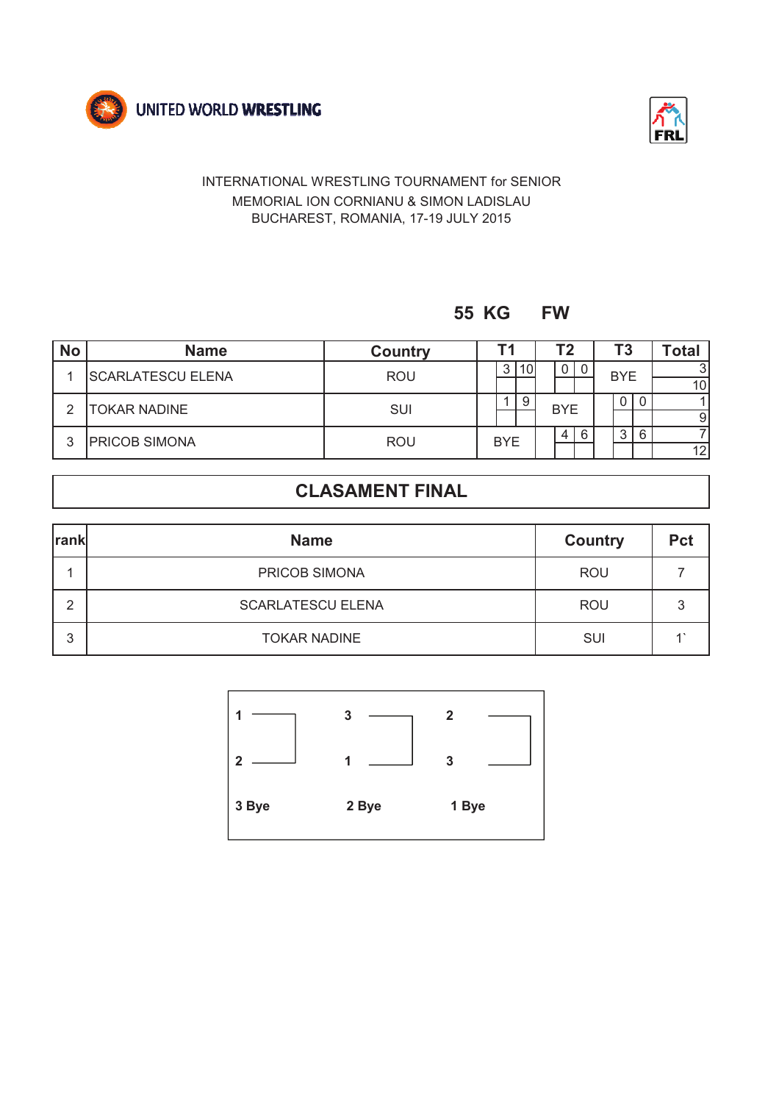



### **55 KG FW**

| <b>No</b> | <b>Name</b>              | <b>Country</b> |            |     |  |            |   |            |    |              |  |  |  |  |  |  | Т2 |  | Τ3 |  | Total |
|-----------|--------------------------|----------------|------------|-----|--|------------|---|------------|----|--------------|--|--|--|--|--|--|----|--|----|--|-------|
|           | <b>SCARLATESCU ELENA</b> | <b>ROU</b>     | 3          | 10I |  | 0          | 0 | <b>BYE</b> |    | $\mathbf{R}$ |  |  |  |  |  |  |    |  |    |  |       |
|           |                          |                |            |     |  |            |   |            |    | 10           |  |  |  |  |  |  |    |  |    |  |       |
| ◠         |                          |                |            | 9   |  | <b>BYE</b> |   |            | 0  |              |  |  |  |  |  |  |    |  |    |  |       |
|           | <b>TOKAR NADINE</b>      | SUI            |            |     |  |            |   |            |    | 9            |  |  |  |  |  |  |    |  |    |  |       |
| ົ         | <b>PRICOB SIMONA</b>     |                | <b>BYE</b> |     |  | 4          | 6 | 3          | 6  |              |  |  |  |  |  |  |    |  |    |  |       |
|           |                          | <b>ROU</b>     |            |     |  |            |   |            | 12 |              |  |  |  |  |  |  |    |  |    |  |       |

| <b>rank</b> | <b>Name</b>              | <b>Country</b> | <b>Pct</b> |
|-------------|--------------------------|----------------|------------|
|             | PRICOB SIMONA            | <b>ROU</b>     |            |
| ົ           | <b>SCARLATESCU ELENA</b> | <b>ROU</b>     | ∍          |
| 3           | <b>TOKAR NADINE</b>      | SUI            |            |

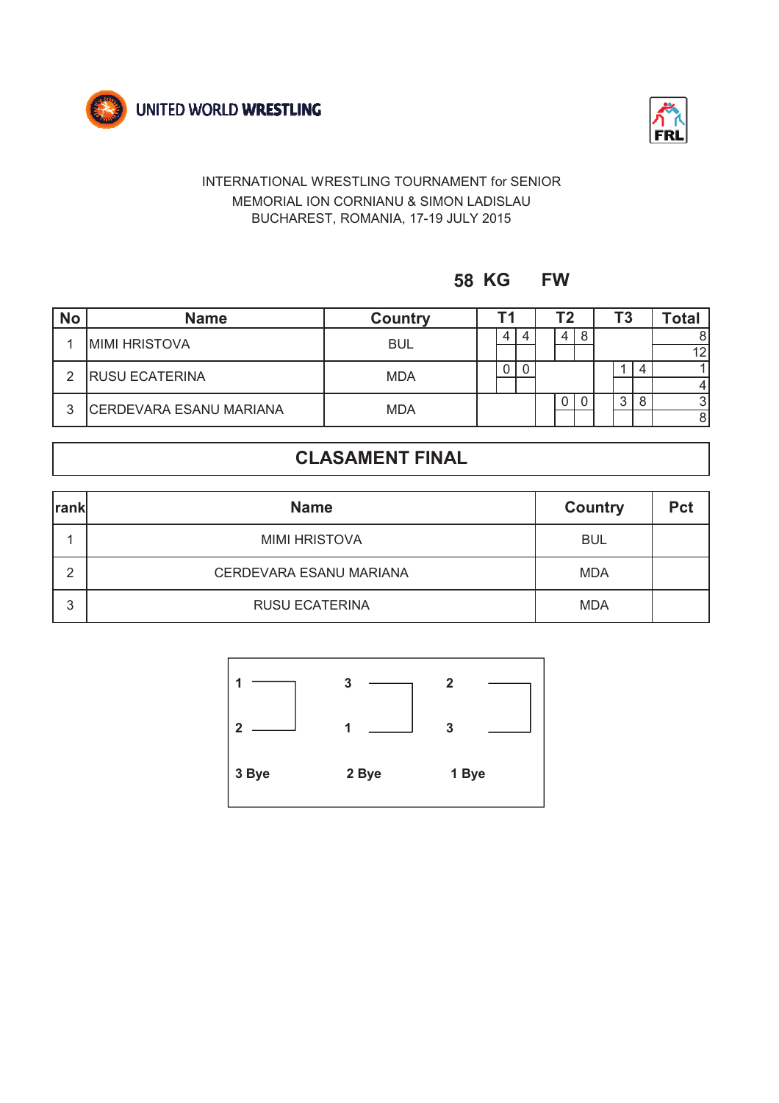



**58 KG FW**

| <b>No</b> | <b>Name</b>                    | <b>Country</b> |  |   |  |  | Tク             |   |   |   | Τ3  |  | Total |
|-----------|--------------------------------|----------------|--|---|--|--|----------------|---|---|---|-----|--|-------|
|           | <b>MIMI HRISTOVA</b>           | <b>BUL</b>     |  | 4 |  |  | $\overline{4}$ | 8 |   |   |     |  |       |
|           |                                |                |  |   |  |  |                |   |   |   | 12I |  |       |
| っ         | <b>RUSU ECATERINA</b>          | <b>MDA</b>     |  |   |  |  |                |   |   | 4 |     |  |       |
|           |                                |                |  |   |  |  |                |   |   |   |     |  |       |
| 3         | <b>CERDEVARA ESANU MARIANA</b> | <b>MDA</b>     |  |   |  |  | 0              |   | 3 | 8 | 31  |  |       |
|           |                                |                |  |   |  |  |                |   |   |   |     |  |       |

| <b>rank</b>   | <b>Name</b>             | <b>Country</b> | <b>Pct</b> |
|---------------|-------------------------|----------------|------------|
|               | <b>MIMI HRISTOVA</b>    | BUL            |            |
| $\mathcal{D}$ | CERDEVARA ESANU MARIANA | <b>MDA</b>     |            |
| 3             | <b>RUSU ECATERINA</b>   | <b>MDA</b>     |            |

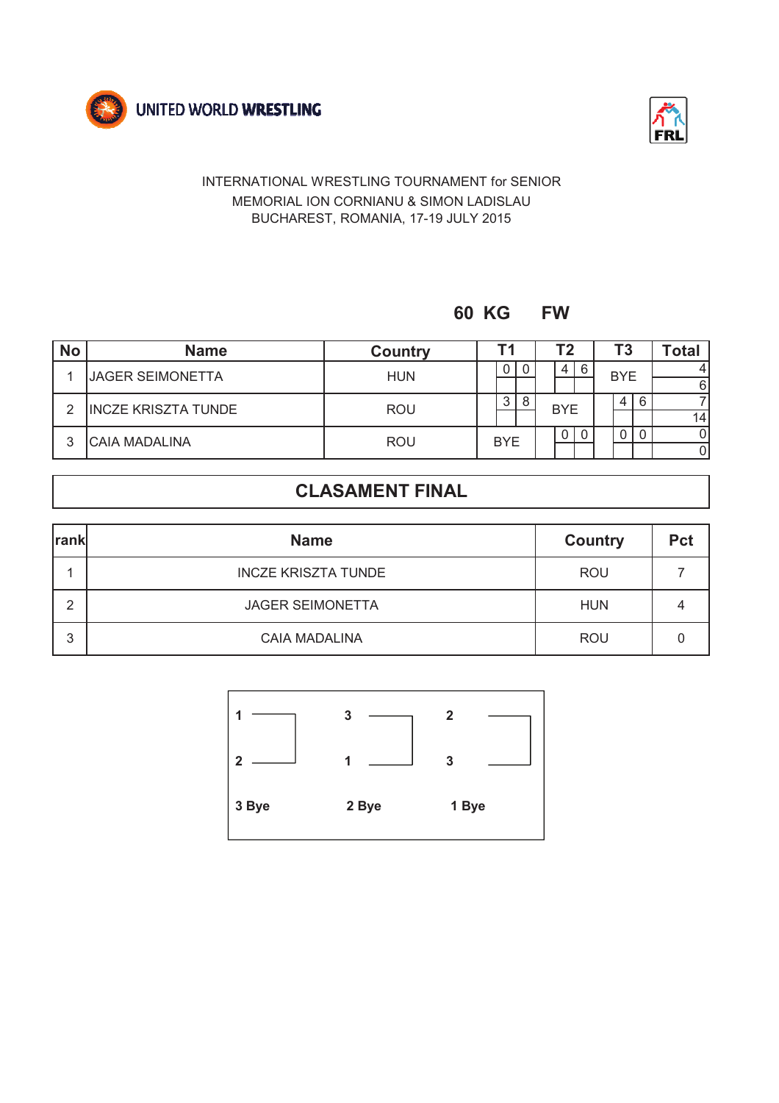



### **60 KG FW**

| <b>No</b> | <b>Name</b>                | <b>Country</b> |  |            |  | Т2 |            |   |  | Τ3         |   | Total           |
|-----------|----------------------------|----------------|--|------------|--|----|------------|---|--|------------|---|-----------------|
|           | <b>JAGER SEIMONETTA</b>    | <b>HUN</b>     |  | U          |  |    | 4          | 6 |  | <b>BYE</b> |   |                 |
|           |                            |                |  |            |  |    |            |   |  |            |   | 6               |
| ົ         | <b>INCZE KRISZTA TUNDE</b> | <b>ROU</b>     |  | 3          |  |    | <b>BYE</b> |   |  | 4          | 6 |                 |
|           |                            |                |  |            |  |    |            |   |  |            |   | 14 <sup>1</sup> |
| ິ         | <b>CAIA MADALINA</b>       |                |  | <b>BYE</b> |  |    | 0          |   |  |            | 0 |                 |
|           |                            | <b>ROU</b>     |  |            |  |    |            |   |  |            |   |                 |

| <b>rank</b> | <b>Name</b>                | <b>Country</b> | <b>Pct</b> |
|-------------|----------------------------|----------------|------------|
|             | <b>INCZE KRISZTA TUNDE</b> | <b>ROU</b>     |            |
| ົ           | <b>JAGER SEIMONETTA</b>    | <b>HUN</b>     |            |
| 3           | <b>CAIA MADALINA</b>       | <b>ROU</b>     |            |

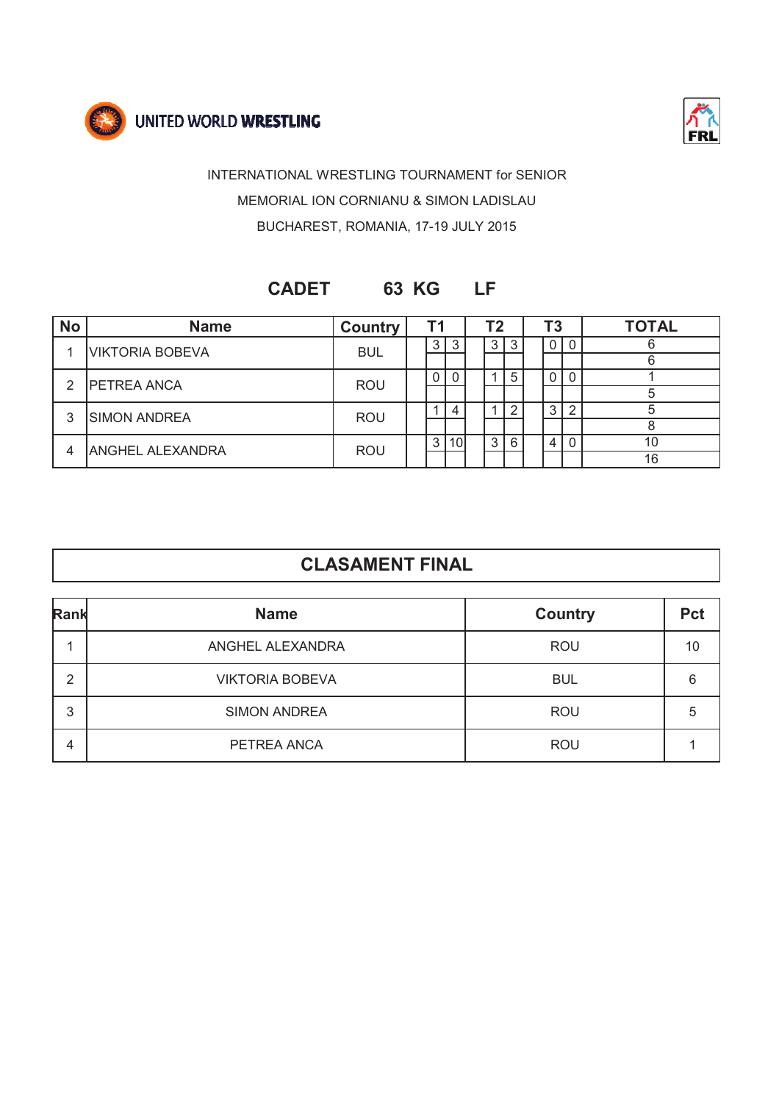



### **CADET 63 KG LF**

| <b>No</b>     | <b>Name</b>             | <b>Country</b> |  | Т1 |                 | Τ2 |   |  | Τ3             |              | <b>TOTAL</b> |  |  |  |  |  |  |  |  |  |  |  |  |  |  |  |  |  |  |  |  |  |  |  |  |  |  |  |  |  |  |  |  |
|---------------|-------------------------|----------------|--|----|-----------------|----|---|--|----------------|--------------|--------------|--|--|--|--|--|--|--|--|--|--|--|--|--|--|--|--|--|--|--|--|--|--|--|--|--|--|--|--|--|--|--|--|
|               | <b>VIKTORIA BOBEVA</b>  | <b>BUL</b>     |  | 3  | 3               | 3  |   |  | 0 <sup>1</sup> | $\mathbf{0}$ |              |  |  |  |  |  |  |  |  |  |  |  |  |  |  |  |  |  |  |  |  |  |  |  |  |  |  |  |  |  |  |  |  |
|               |                         |                |  |    |                 |    |   |  |                |              |              |  |  |  |  |  |  |  |  |  |  |  |  |  |  |  |  |  |  |  |  |  |  |  |  |  |  |  |  |  |  |  |  |
| $\mathcal{P}$ | <b>IPETREA ANCA</b>     | <b>ROU</b>     |  |    | 0               |    | 5 |  |                | $\Omega$     |              |  |  |  |  |  |  |  |  |  |  |  |  |  |  |  |  |  |  |  |  |  |  |  |  |  |  |  |  |  |  |  |  |
|               |                         |                |  |    |                 |    |   |  |                |              |              |  |  |  |  |  |  |  |  |  |  |  |  |  |  |  |  |  |  |  |  |  |  |  |  |  |  |  |  |  |  |  |  |
| 3             | <b>SIMON ANDREA</b>     | <b>ROU</b>     |  |    | 4               |    |   |  | 3              | ◠            |              |  |  |  |  |  |  |  |  |  |  |  |  |  |  |  |  |  |  |  |  |  |  |  |  |  |  |  |  |  |  |  |  |
|               |                         |                |  |    |                 |    |   |  |                |              |              |  |  |  |  |  |  |  |  |  |  |  |  |  |  |  |  |  |  |  |  |  |  |  |  |  |  |  |  |  |  |  |  |
|               |                         |                |  | 3  | 10 <sup>l</sup> | 3  | 6 |  | -4             | $\Omega$     |              |  |  |  |  |  |  |  |  |  |  |  |  |  |  |  |  |  |  |  |  |  |  |  |  |  |  |  |  |  |  |  |  |
| 4             | <b>ANGHEL ALEXANDRA</b> | <b>ROU</b>     |  |    |                 |    |   |  |                |              | 16           |  |  |  |  |  |  |  |  |  |  |  |  |  |  |  |  |  |  |  |  |  |  |  |  |  |  |  |  |  |  |  |  |

| Rank | <b>Name</b>            | <b>Country</b> | <b>Pct</b> |
|------|------------------------|----------------|------------|
|      | ANGHEL ALEXANDRA       | <b>ROU</b>     | 10         |
| 2    | <b>VIKTORIA BOBEVA</b> | <b>BUL</b>     | 6          |
| 3    | <b>SIMON ANDREA</b>    | <b>ROU</b>     | 5          |
| 4    | PETREA ANCA            | <b>ROU</b>     |            |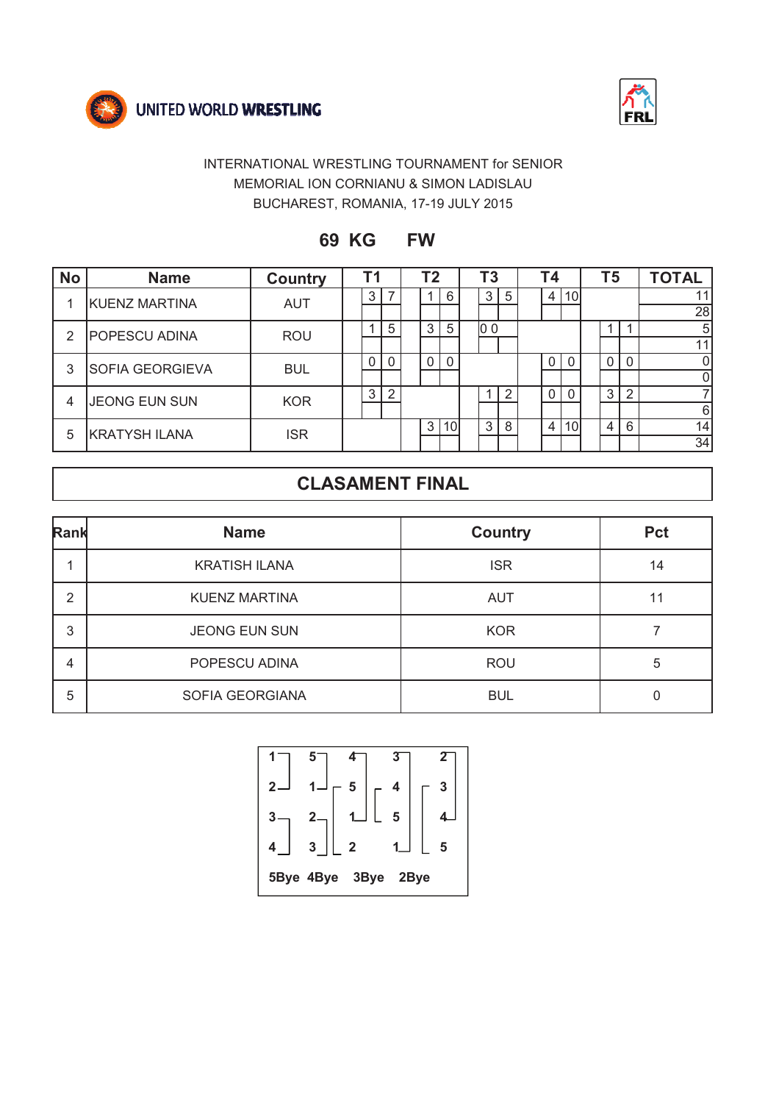



**69 KG FW**

| <b>No</b>      | <b>Name</b>            | <b>Country</b> | Τ1       |   | T2 |    | T3             |   | <b>T4</b>      |     | T5 |                | <b>TOTAL</b> |
|----------------|------------------------|----------------|----------|---|----|----|----------------|---|----------------|-----|----|----------------|--------------|
|                | <b>KUENZ MARTINA</b>   | <b>AUT</b>     | 3        |   |    | 6  | 3              | 5 | $\overline{4}$ | 10l |    |                | 11           |
|                |                        |                |          |   |    |    |                |   |                |     |    |                | 28           |
| 2              | <b>POPESCU ADINA</b>   | <b>ROU</b>     |          | 5 | 3  | 5  | 0 <sub>0</sub> |   |                |     |    |                | 5            |
|                |                        |                |          |   |    |    |                |   |                |     |    |                | 11           |
| 3              | <b>SOFIA GEORGIEVA</b> | <b>BUL</b>     | $\Omega$ |   |    |    |                |   | $\Omega$       |     | 0  |                | 0            |
|                |                        |                |          |   |    |    |                |   |                |     |    |                | 0            |
| $\overline{4}$ | <b>JEONG EUN SUN</b>   | <b>KOR</b>     | 3        | 2 |    |    |                | റ | $\Omega$       |     | 3  | $\overline{2}$ | 7            |
|                |                        |                |          |   |    |    |                |   |                |     |    |                | 6            |
| 5              | <b>KRATYSH ILANA</b>   | <b>ISR</b>     |          |   | 3  | 10 | 3              | 8 | $\overline{4}$ | 10I | 4  | 6              | 14           |
|                |                        |                |          |   |    |    |                |   |                |     |    |                | 34           |

| Rank | <b>Name</b>          | <b>Country</b> | Pct |
|------|----------------------|----------------|-----|
|      | <b>KRATISH ILANA</b> | <b>ISR</b>     | 14  |
| 2    | <b>KUENZ MARTINA</b> | <b>AUT</b>     | 11  |
| 3    | <b>JEONG EUN SUN</b> | <b>KOR</b>     |     |
| 4    | POPESCU ADINA        | <b>ROU</b>     | 5   |
| 5    | SOFIA GEORGIANA      | <b>BUL</b>     |     |

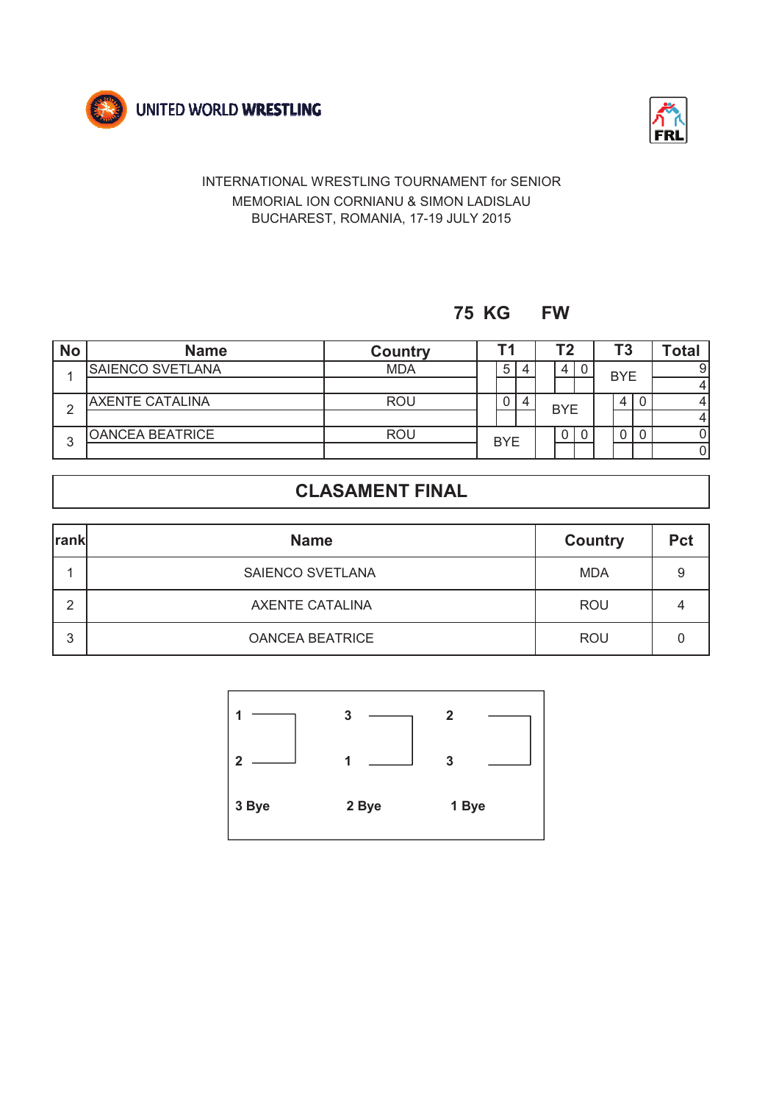



### **75 KG FW**

| <b>No</b> | <b>Name</b>            | <b>Country</b> |            |   |  |  |                |   |            |   |   |  |  |  |  |  |  |  |  |  |  |  |  | T <sub>3</sub> |  | Tota⊾ |
|-----------|------------------------|----------------|------------|---|--|--|----------------|---|------------|---|---|--|--|--|--|--|--|--|--|--|--|--|--|----------------|--|-------|
|           | SAIENCO SVETLANA       | <b>MDA</b>     |            | 5 |  |  | $\overline{4}$ | 0 | <b>BYE</b> |   |   |  |  |  |  |  |  |  |  |  |  |  |  |                |  |       |
|           |                        |                |            |   |  |  |                |   |            |   | 4 |  |  |  |  |  |  |  |  |  |  |  |  |                |  |       |
| ◠         | <b>AXENTE CATALINA</b> | <b>ROU</b>     |            | 0 |  |  | <b>BYE</b>     |   | 4          |   |   |  |  |  |  |  |  |  |  |  |  |  |  |                |  |       |
|           |                        |                |            |   |  |  |                |   |            |   |   |  |  |  |  |  |  |  |  |  |  |  |  |                |  |       |
| ົ         | <b>OANCEA BEATRICE</b> | <b>ROU</b>     |            |   |  |  | $\mathbf{0}$   |   |            | 0 |   |  |  |  |  |  |  |  |  |  |  |  |  |                |  |       |
| J         |                        |                | <b>BYE</b> |   |  |  |                |   |            |   |   |  |  |  |  |  |  |  |  |  |  |  |  |                |  |       |

| <b>rank</b> | <b>Name</b>            | <b>Country</b> | <b>Pct</b> |
|-------------|------------------------|----------------|------------|
|             | SAIENCO SVETLANA       | <b>MDA</b>     | 9          |
| ົ           | <b>AXENTE CATALINA</b> | <b>ROU</b>     |            |
| 3           | <b>OANCEA BEATRICE</b> | <b>ROU</b>     |            |

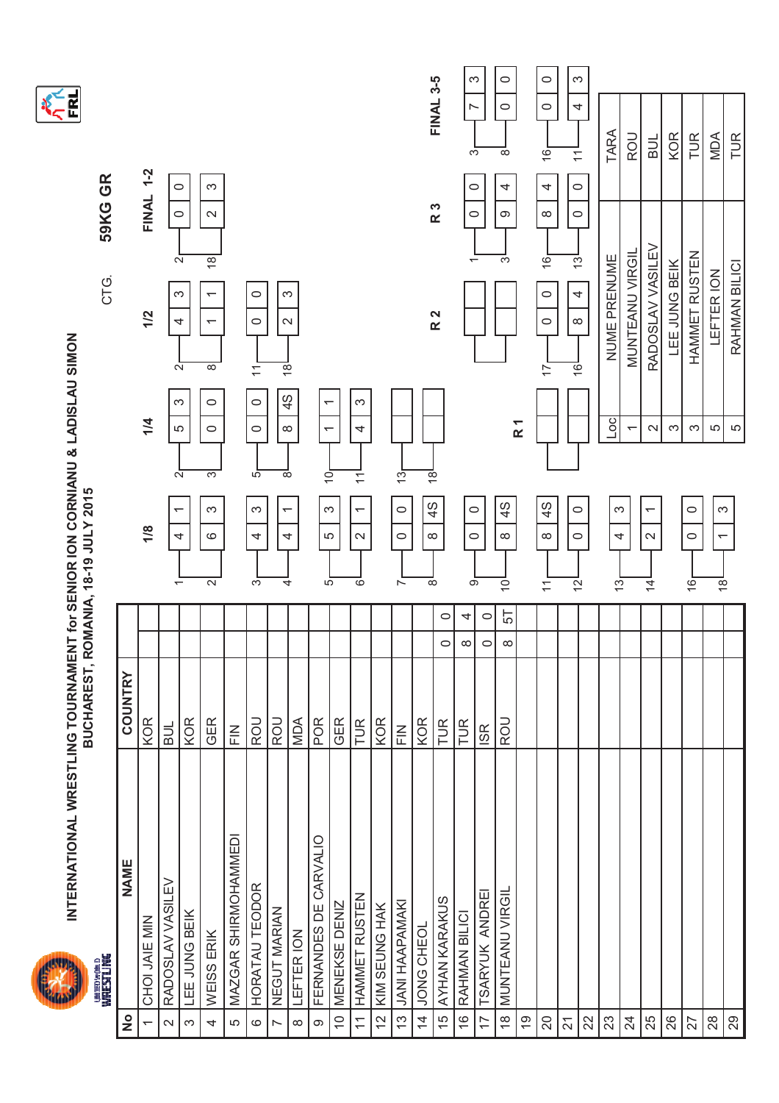



|                          | <b>UNTESTLING</b><br>WRESTLING |                                                       |                    |                                                           |                                                                        | CTG.                                                                 | 59KG GR                               |                                      |
|--------------------------|--------------------------------|-------------------------------------------------------|--------------------|-----------------------------------------------------------|------------------------------------------------------------------------|----------------------------------------------------------------------|---------------------------------------|--------------------------------------|
| $\frac{1}{2}$            | NAME                           | COUNTRY                                               |                    |                                                           |                                                                        |                                                                      |                                       |                                      |
| $\overline{\phantom{0}}$ | CHOI JAIE MIN                  | KOR                                                   |                    | 1/8                                                       | 1/4                                                                    | 1/2                                                                  | FINAL 1-2                             |                                      |
| $\sim$                   | RADOSLAV VASILEV               | BUL                                                   |                    | $\overline{\phantom{0}}$<br>4<br>$\overline{\phantom{0}}$ | S<br>5<br>$\sim$                                                       | 4<br>$\mathbf{\Omega}$                                               | 0<br>$\circ$<br>$\sim$                |                                      |
| က                        | LEE JUNG BEIK                  | KOR                                                   |                    |                                                           |                                                                        | က                                                                    |                                       |                                      |
| 4                        | WEISS ERIK                     | GER                                                   |                    | S<br>$\circ$<br>$\sim$                                    | $\circ$<br>$\circ$<br>က                                                | $\overline{\phantom{0}}$<br>$\overline{\phantom{0}}$<br>${}^{\circ}$ | S<br>$\boldsymbol{\sim}$<br>18        |                                      |
| LO                       | MAZGAR SHIRMOHAMMEDI           | $\mathop{\underline{\mathsf{E}}}\limits_{\mathsf{L}}$ |                    |                                                           |                                                                        |                                                                      |                                       |                                      |
| $\circ$                  | HORATAU TEODOR                 | ROU                                                   |                    | $\infty$<br>4<br>$\overline{\mathcal{C}}$                 | $\circ$<br>$\circ$<br>5                                                | $\circ$<br>$\circ$<br>$\overline{\mathcal{L}}$                       |                                       |                                      |
| Ľ                        | NEGUT MARIAN                   | ROU                                                   |                    | $\overline{\phantom{0}}$<br>4<br>4                        | $\frac{4}{3}$<br>$\infty$<br>${}^{\circ}$                              | S<br>$\sim$<br>$\frac{1}{8}$                                         |                                       |                                      |
| $\infty$                 | LEFTER ION                     | MDA                                                   |                    |                                                           |                                                                        |                                                                      |                                       |                                      |
| $\infty$                 | FERNANDES DE CARVALIO          | POR                                                   |                    | S<br>LO<br>5                                              | $\overline{\phantom{0}}$<br>$\overline{\phantom{0}}$<br>$\overline{O}$ |                                                                      |                                       |                                      |
| $\widetilde{C}$          | MENEKSE DENIZ                  | GER                                                   |                    |                                                           |                                                                        |                                                                      |                                       |                                      |
| $\overline{\mathcal{L}}$ | HAMMET RUSTEN                  | TUR                                                   |                    | $\overline{ }$<br>$\sim$<br>ဖ                             | ω<br>4<br>$\overline{\mathcal{L}}$                                     |                                                                      |                                       |                                      |
| 12                       | KIM SEUNG HAK                  | KOR                                                   |                    |                                                           |                                                                        |                                                                      |                                       |                                      |
| $\tilde{c}$              | <b>JANI HAAPAMAKI</b>          | $\sum_{L}$                                            |                    | $\circ$<br>$\circ$<br>$\overline{ }$                      | $\frac{1}{2}$                                                          |                                                                      |                                       |                                      |
| $\overline{4}$           | JONG CHEOL                     | KOR                                                   |                    | 4S<br>$\infty$<br>${}^{\circ}$                            | $\frac{\infty}{\infty}$                                                |                                                                      |                                       |                                      |
| 15                       | AYHAN KARAKUS                  | TUR                                                   | $\circ$<br>0       |                                                           |                                                                        | R 2                                                                  | R 3                                   | <b>FINAL 3-5</b>                     |
| $\frac{1}{2}$            | RAHMAN BILICI                  | TUR                                                   | 4<br>$\infty$      | $\circ$<br>$\circ$<br>ெ                                   |                                                                        |                                                                      | $\circ$<br>$\circ$                    | က<br>$\overline{ }$<br>S             |
| $\overline{1}$           | TSARYUK ANDREI                 | ISR                                                   | $\circ$<br>$\circ$ |                                                           |                                                                        |                                                                      |                                       |                                      |
| $\frac{\infty}{\infty}$  | <b>MUNTEANU VIRGIL</b>         | ROU                                                   | 57<br>$\infty$     | 4S<br>$\infty$<br>$\bar{\circ}$                           |                                                                        |                                                                      | 4<br>တ<br>S                           | $\circ$<br>$\circ$<br>${}^{\circ}$   |
| စ္                       |                                |                                                       |                    |                                                           | R <sub>1</sub>                                                         |                                                                      |                                       |                                      |
| $\Omega$                 |                                |                                                       |                    | 4S<br>$\infty$<br>$\overline{\mathcal{L}}$                |                                                                        | $\circ$<br>$\circ$<br>$\overline{1}$                                 | 4<br>$\infty$<br>$\overline{6}$       | $\circ$<br>$\circ$<br>$\overline{6}$ |
| $\overline{2}$           |                                |                                                       |                    | $\circ$<br>$\circ$<br>$\bar{5}$                           |                                                                        | 4<br>$\infty$<br>$\overline{6}$                                      | $\circ$<br>$\circ$<br>$\overline{13}$ | S<br>4<br>$\overline{\mathcal{L}}$   |
| 22                       |                                |                                                       |                    |                                                           |                                                                        |                                                                      |                                       |                                      |
| 23                       |                                |                                                       |                    | က<br>4<br>$\frac{1}{2}$                                   | oc                                                                     | NUME PRENUME                                                         |                                       | TARA                                 |
| $\overline{24}$          |                                |                                                       |                    |                                                           | $\overline{\phantom{0}}$                                               | MUNTEANU VIRGIL                                                      |                                       | <b>ROU</b>                           |
| 25                       |                                |                                                       |                    | $\overline{ }$<br>$\mathbf{\Omega}$<br>$\overline{4}$     | $\mathbf{\Omega}$                                                      | RADOSLAV VASILEV                                                     |                                       | <b>BUL</b>                           |
| 26                       |                                |                                                       |                    |                                                           | $\infty$                                                               | LEE JUNG BEIK                                                        |                                       | KOR                                  |
| 27                       |                                |                                                       |                    | $\circ$<br>$\circ$<br>$\overline{6}$                      | S                                                                      | HAMMET RUSTEN                                                        |                                       | TUR                                  |
| $^{28}$                  |                                |                                                       |                    | S<br>$\overline{\phantom{0}}$<br>$\frac{1}{6}$            | Ю                                                                      | LEFTER ION                                                           |                                       | MDA                                  |
| 29                       |                                |                                                       |                    |                                                           | LO                                                                     | RAHMAN BILICI                                                        |                                       | TUR                                  |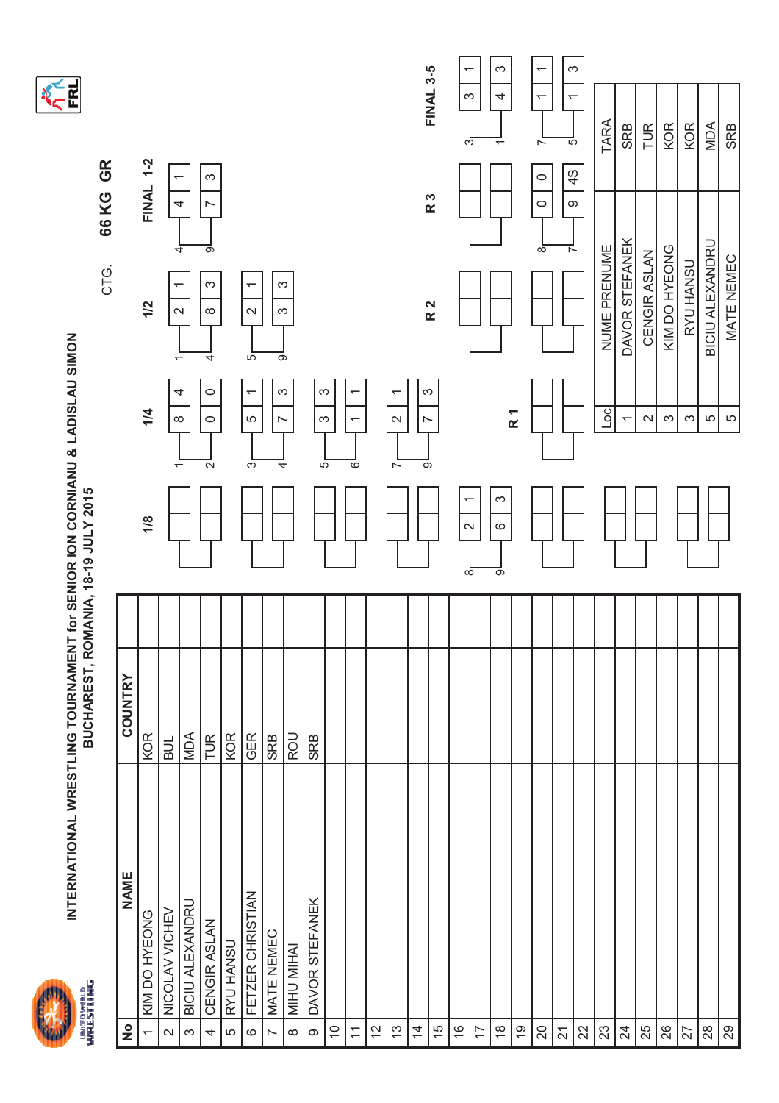



**KERT** 

| $\frac{1}{2}$             | <b>NAME</b>            | <b>COUNTRY</b> |                                    |                                            |                                                                           |                                             |                                                                        |
|---------------------------|------------------------|----------------|------------------------------------|--------------------------------------------|---------------------------------------------------------------------------|---------------------------------------------|------------------------------------------------------------------------|
| ᡪ                         | KIM DO HYEONG          | <b>KOR</b>     | 1/8                                | 1/4                                        | 1/2                                                                       | <b>FINAL 1-2</b>                            |                                                                        |
| $\sim$                    | NICOLAV VICHEV         | <b>BUL</b>     |                                    | 4<br>$\infty$                              | $\overline{\phantom{0}}$<br>$\mathbf{\Omega}$<br>$\overline{\phantom{0}}$ | ↽<br>4<br>4                                 |                                                                        |
| $\infty$                  | <b>BICIU ALEXANDRU</b> | <b>NDA</b>     |                                    |                                            |                                                                           |                                             |                                                                        |
| 4                         | CENGIR ASLAN           | TUR            | $\mathbf{\Omega}$                  | $\circ$<br>$\circ$                         | က<br>$\infty$<br>4                                                        | ω<br>N<br>$\overline{\circ}$                |                                                                        |
| LO                        | RYU HANSU              | <b>KOR</b>     |                                    |                                            |                                                                           |                                             |                                                                        |
| $\circ$                   | FETZER CHRISTIAN       | <b>GER</b>     | က်                                 | $\overline{ }$<br>LO                       | $\overline{\phantom{0}}$<br>$\sim$<br>$\overline{5}$                      |                                             |                                                                        |
| $\overline{ }$            | MATE NEMEC             | <b>SRB</b>     |                                    | $\sim$                                     | $\infty$<br>တ                                                             |                                             |                                                                        |
| $\infty$                  | MIHU MIHAI             | ROU            | 4                                  | $\infty$                                   | S                                                                         |                                             |                                                                        |
| $\circ$                   | DAVOR STEFANEK         | <b>SRB</b>     | $\overline{5}$                     | S<br>$\infty$                              |                                                                           |                                             |                                                                        |
| $\widetilde{\phantom{a}}$ |                        |                |                                    |                                            |                                                                           |                                             |                                                                        |
| $\overline{\mathcal{L}}$  |                        |                | ०                                  | $\overline{ }$<br>$\overline{\phantom{0}}$ |                                                                           |                                             |                                                                        |
| $\frac{1}{2}$             |                        |                |                                    |                                            |                                                                           |                                             |                                                                        |
| $\frac{3}{2}$             |                        |                | $\overline{ }$                     | $\overline{ }$<br>$\mathbf{\Omega}$        |                                                                           |                                             |                                                                        |
| $\overline{4}$            |                        |                | ಾ                                  | S<br>$\overline{ }$                        |                                                                           |                                             |                                                                        |
| 15                        |                        |                |                                    |                                            | R <sub>2</sub>                                                            | R 3                                         | <b>FINAL 3-5</b>                                                       |
| $\frac{6}{5}$             |                        |                | ᡪ<br>$\sim$<br>$\overline{\infty}$ |                                            |                                                                           |                                             | $\overline{\phantom{0}}$<br>$\infty$<br>S                              |
| $\overline{1}$            |                        |                |                                    |                                            |                                                                           |                                             |                                                                        |
| $\frac{8}{1}$             |                        |                | S<br>$\circ$<br>$\overline{\circ}$ |                                            |                                                                           |                                             | S<br>4<br>$\overline{ }$                                               |
| $\overline{6}$            |                        |                |                                    | $\overline{R}$ 1                           |                                                                           |                                             |                                                                        |
| 20                        |                        |                |                                    |                                            |                                                                           | $\circ$<br>$\circ$<br>$\infty$              | $\overline{\phantom{0}}$<br>$\overline{\phantom{0}}$<br>$\overline{ }$ |
| $\overline{2}1$           |                        |                |                                    |                                            |                                                                           | $\frac{4}{5}$<br>$\infty$<br>$\overline{ }$ | $\infty$<br>$\overline{ }$<br><u>რ</u>                                 |
| 22                        |                        |                |                                    |                                            |                                                                           |                                             |                                                                        |
| 23                        |                        |                |                                    | $\overline{5}$                             | NUME PRENUME                                                              |                                             | TARA                                                                   |
| 24                        |                        |                |                                    | $\overline{\phantom{0}}$                   | DAVOR STEFANEK                                                            |                                             | <b>SRB</b>                                                             |
| 25                        |                        |                |                                    | $\sim$                                     | CENGIR ASLAN                                                              |                                             | TUR                                                                    |
| 26                        |                        |                |                                    | S                                          | KIM DO HYEONG                                                             |                                             | KOR                                                                    |
| 27                        |                        |                |                                    | $\infty$                                   | RYU HANSU                                                                 |                                             | <b>KOR</b>                                                             |
| $28$                      |                        |                |                                    | 5                                          | <b>BICIU ALEXANDRU</b>                                                    |                                             | MDA                                                                    |
| $\frac{29}{2}$            |                        |                |                                    | LO                                         | MATE NEMEC                                                                |                                             | <b>SRB</b>                                                             |

**FINAL 3-5**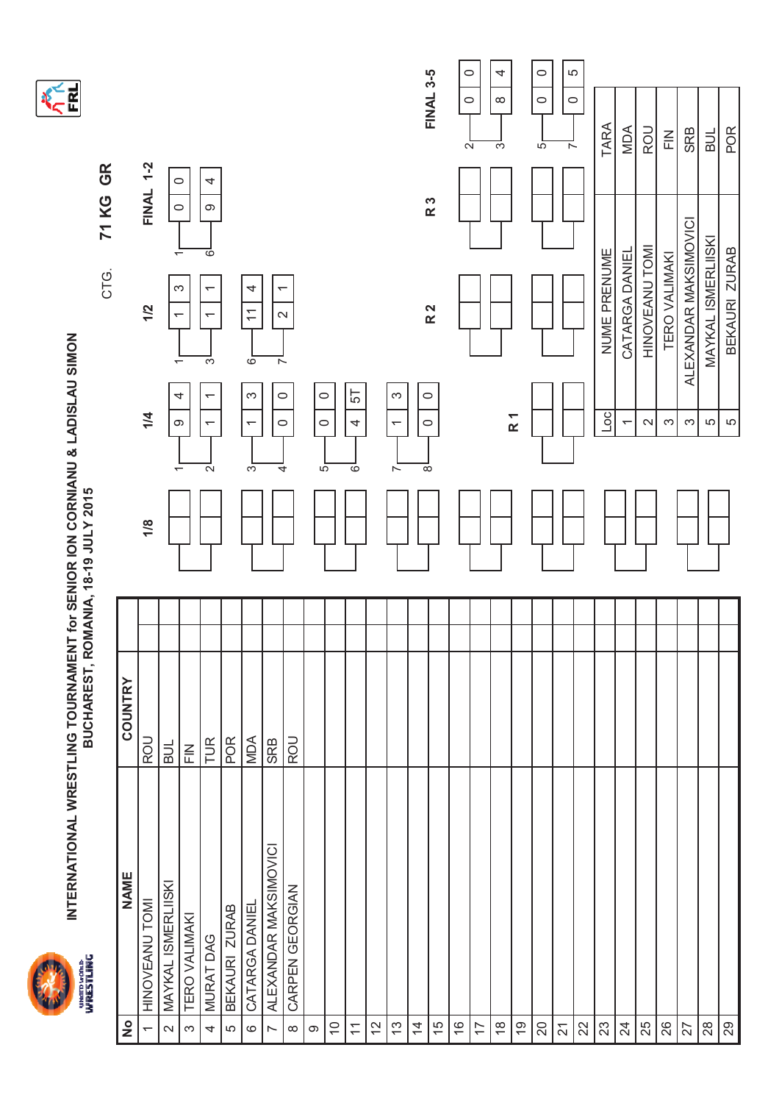



CTG.

|                             |               |         |     |                                                | CTG.                                                                                                                                                       | 71 KG GR                                                                                                                             |                                                                                                                                                                                  |                                                                                                 |
|-----------------------------|---------------|---------|-----|------------------------------------------------|------------------------------------------------------------------------------------------------------------------------------------------------------------|--------------------------------------------------------------------------------------------------------------------------------------|----------------------------------------------------------------------------------------------------------------------------------------------------------------------------------|-------------------------------------------------------------------------------------------------|
| $\frac{1}{2}$               |               |         |     |                                                |                                                                                                                                                            |                                                                                                                                      |                                                                                                                                                                                  |                                                                                                 |
| HINOVEANU TOMI              | <b>ROU</b>    |         | 1/8 | 1/4                                            | 1/2                                                                                                                                                        |                                                                                                                                      |                                                                                                                                                                                  |                                                                                                 |
| MAYKAL ISMERLIISKI          | <b>BUL</b>    |         |     |                                                |                                                                                                                                                            |                                                                                                                                      |                                                                                                                                                                                  |                                                                                                 |
| <b>TERO VALIMAKI</b><br>S   | $\frac{Z}{L}$ |         |     |                                                |                                                                                                                                                            |                                                                                                                                      |                                                                                                                                                                                  |                                                                                                 |
| MURAT DAG                   | TUR           |         |     | $\overline{ }$<br>$\leftarrow$<br>$\sim$       | $\overline{\phantom{0}}$<br>$\overline{\phantom{0}}$<br>్గా                                                                                                | 4<br>$\circ$<br>$\overline{\circ}$                                                                                                   |                                                                                                                                                                                  |                                                                                                 |
| BEKAURI ZURAB               | POR           |         |     |                                                |                                                                                                                                                            |                                                                                                                                      |                                                                                                                                                                                  |                                                                                                 |
| CATARGA DANIEL<br>$\circ$   | MDA           |         |     | S<br>$\overline{ }$<br>$\overline{3}$          | 4<br>$\overline{\overline{1}}$<br>ം<br>0                                                                                                                   |                                                                                                                                      |                                                                                                                                                                                  |                                                                                                 |
| ALEXANDAR MAKSIMOVICI       | SRB           |         |     |                                                |                                                                                                                                                            |                                                                                                                                      |                                                                                                                                                                                  |                                                                                                 |
| CARPEN GEORGIAN<br>$\infty$ | ROU           |         |     |                                                |                                                                                                                                                            |                                                                                                                                      |                                                                                                                                                                                  |                                                                                                 |
|                             |               |         |     |                                                |                                                                                                                                                            |                                                                                                                                      |                                                                                                                                                                                  |                                                                                                 |
| $\frac{0}{1}$               |               |         |     |                                                |                                                                                                                                                            |                                                                                                                                      |                                                                                                                                                                                  |                                                                                                 |
| $\overline{\mathcal{L}}$    |               |         |     | 57<br>4<br>$\circ$                             |                                                                                                                                                            |                                                                                                                                      |                                                                                                                                                                                  |                                                                                                 |
| $\overline{c}$              |               |         |     |                                                |                                                                                                                                                            |                                                                                                                                      |                                                                                                                                                                                  |                                                                                                 |
| $\frac{3}{2}$               |               |         |     | $\infty$<br>$\overline{\phantom{0}}$<br>$\sim$ |                                                                                                                                                            |                                                                                                                                      |                                                                                                                                                                                  |                                                                                                 |
| $\overline{4}$              |               |         |     |                                                |                                                                                                                                                            |                                                                                                                                      |                                                                                                                                                                                  |                                                                                                 |
| 15                          |               |         |     |                                                |                                                                                                                                                            |                                                                                                                                      |                                                                                                                                                                                  |                                                                                                 |
| $\frac{6}{1}$               |               |         |     |                                                |                                                                                                                                                            |                                                                                                                                      |                                                                                                                                                                                  |                                                                                                 |
| 17                          |               |         |     |                                                |                                                                                                                                                            |                                                                                                                                      |                                                                                                                                                                                  |                                                                                                 |
| $\frac{8}{1}$               |               |         |     |                                                |                                                                                                                                                            |                                                                                                                                      | 4<br>$\infty$<br>က                                                                                                                                                               |                                                                                                 |
| $\overline{6}$              |               |         |     |                                                |                                                                                                                                                            |                                                                                                                                      |                                                                                                                                                                                  |                                                                                                 |
| 20                          |               |         |     |                                                |                                                                                                                                                            |                                                                                                                                      | $\circ$<br>$\circ$<br>5                                                                                                                                                          |                                                                                                 |
| $\overline{2}$              |               |         |     |                                                |                                                                                                                                                            |                                                                                                                                      |                                                                                                                                                                                  |                                                                                                 |
| 22                          |               |         |     |                                                |                                                                                                                                                            |                                                                                                                                      |                                                                                                                                                                                  |                                                                                                 |
| 23                          |               |         |     | $\overline{\mathsf{C}}$                        |                                                                                                                                                            |                                                                                                                                      | TARA                                                                                                                                                                             |                                                                                                 |
| 24                          |               |         |     | $\overline{\phantom{0}}$                       |                                                                                                                                                            |                                                                                                                                      | <b>MDA</b>                                                                                                                                                                       |                                                                                                 |
| 25                          |               |         |     | $\mathbf{\Omega}$                              |                                                                                                                                                            |                                                                                                                                      | ROU                                                                                                                                                                              |                                                                                                 |
| 26                          |               |         |     | S                                              |                                                                                                                                                            |                                                                                                                                      | $\frac{Z}{L}$                                                                                                                                                                    |                                                                                                 |
| 27                          |               |         |     | S                                              |                                                                                                                                                            |                                                                                                                                      | <b>SRB</b>                                                                                                                                                                       |                                                                                                 |
| 28                          |               |         |     | 5                                              |                                                                                                                                                            |                                                                                                                                      | $\frac{1}{2}$                                                                                                                                                                    |                                                                                                 |
| $_{29}$                     |               |         |     | LO                                             |                                                                                                                                                            |                                                                                                                                      | POR                                                                                                                                                                              |                                                                                                 |
|                             | NAME          | COUNTRY |     |                                                | $\circ$<br>$\circ$<br>$\circ$<br>4<br>R <sub>1</sub><br>$\infty$<br>$\circ$<br>$\circ$<br>$\circ$<br><u>ഹ</u><br>$\infty$<br>4<br>$\overline{\phantom{0}}$ | က<br>$\overline{\phantom{0}}$<br>R <sub>2</sub><br>$\mathbf{\sim}$<br>$\overline{\phantom{0}}$<br>$\sim$<br>$\overline{\phantom{m}}$ | $\circ$<br>R 3<br>$\circ$<br>ALEXANDAR MAKSIMOVICI<br>MAYKAL ISMERLIISKI<br>HINOVEANU TOMI<br>BEKAURI ZURAB<br>NUME PRENUME<br>CATARGA DANIEL<br>$\overline{ }$<br>TERO VALIMAKI | <b>FINAL 3-5</b><br>LO<br>$\circ$<br>$\circ$<br>$\circ$<br>$\sim$<br>$\sim$<br><b>FINAL 1-2</b> |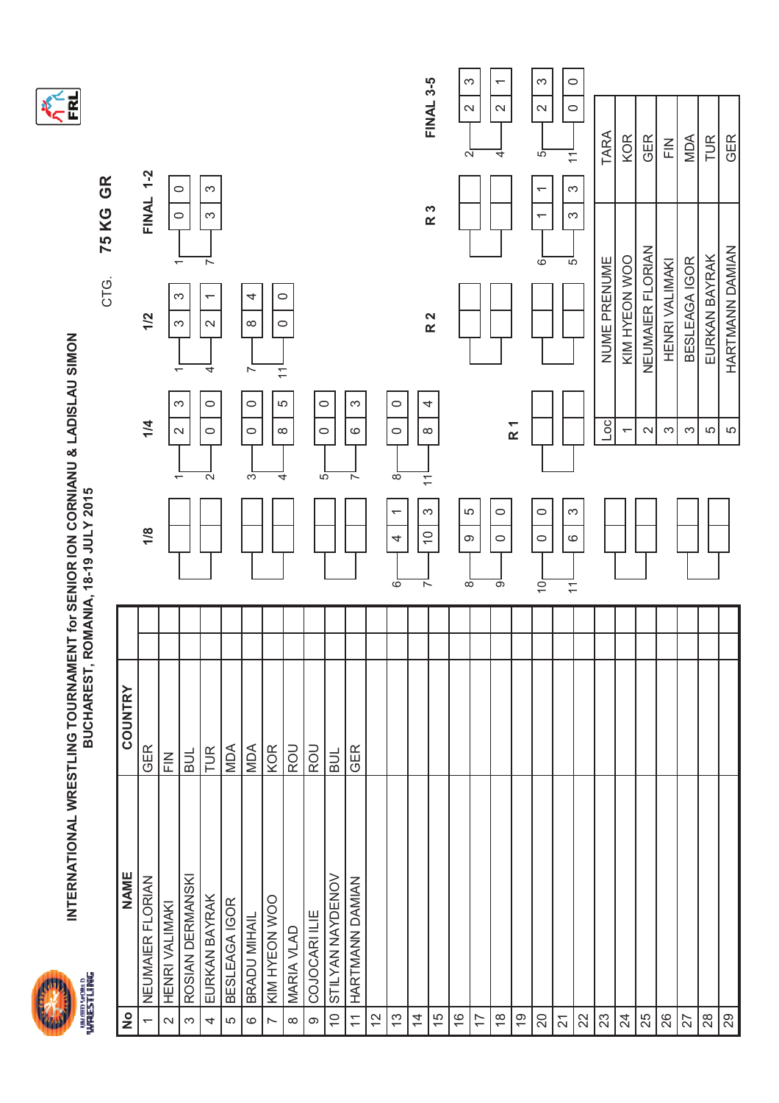



**KERL** 

|               |                          |                                                                |                  |                                                              |               |                                           |                                                |                   |                         |                           |                          |               |                                    |                                          |                  | S                                      |    | $\overline{ }$          |                | S                                          | $\circ$                                 |    |                |                          |                  |                                                                                                                                                                                                                                                                                                                                                                                                                                                                                                                                                                                |               |               |                 |
|---------------|--------------------------|----------------------------------------------------------------|------------------|--------------------------------------------------------------|---------------|-------------------------------------------|------------------------------------------------|-------------------|-------------------------|---------------------------|--------------------------|---------------|------------------------------------|------------------------------------------|------------------|----------------------------------------|----|-------------------------|----------------|--------------------------------------------|-----------------------------------------|----|----------------|--------------------------|------------------|--------------------------------------------------------------------------------------------------------------------------------------------------------------------------------------------------------------------------------------------------------------------------------------------------------------------------------------------------------------------------------------------------------------------------------------------------------------------------------------------------------------------------------------------------------------------------------|---------------|---------------|-----------------|
|               |                          |                                                                |                  |                                                              |               |                                           |                                                |                   |                         |                           |                          |               |                                    |                                          | <b>FINAL 3-5</b> | $\mathbf{\Omega}$<br>$\mathbf{\Omega}$ |    | $\mathbf{\Omega}$<br>4  |                | $\mathbf{\Omega}$<br>5                     | $\circ$<br>$\overline{\mathbf{r}}$      |    | TARA           | <b>KOR</b>               | GER              | $\mathop{\underline{\mathop{\scriptstyle\mathop{\scriptstyle\mathop{\scriptstyle\mathop{\scriptstyle\mathop{\scriptstyle\mathop{\scriptstyle\mathop{\scriptstyle\mathop{\scriptstyle\mathop{\scriptstyle\mathop{\scriptstyle\mathop{\scriptstyle\mathop{\scriptstyle\mathop{\scriptstyle\mathop{\scriptstyle\mathop{\scriptstyle\mathop{\scriptstyle\mathop{\scriptstyle\mathop{\scriptstyle\mathop{\scriptstyle\mathop{\scriptstyle\mathop{\scriptstyle\mathop{\scriptstyle\mathop{\scriptstyle\mathop{\scriptstyle\mathop{\scriptstyle\mathop{\cal E}}}}}}}}}}}}\mathop{F}}$ | MDA           | TUR           | <b>GER</b>      |
|               | <b>FINAL 1-2</b>         | $\circ$<br>$\circ$                                             |                  | ω<br>S                                                       |               |                                           |                                                |                   |                         |                           |                          |               |                                    |                                          | R 3              |                                        |    |                         |                | $\overline{\phantom{0}}$<br>$\overline{ }$ | S<br>S                                  |    |                |                          |                  |                                                                                                                                                                                                                                                                                                                                                                                                                                                                                                                                                                                |               |               |                 |
|               | 1/2                      | $\overline{\phantom{0}}$<br>S<br>က<br>$\overline{\phantom{0}}$ |                  | $\sim$<br>$\overline{\phantom{0}}$<br>$\mathbf{\Omega}$<br>4 |               | 4<br>$\infty$<br>$\overline{\phantom{0}}$ | $\circ$<br>$\circ$<br>$\overline{\mathcal{L}}$ |                   |                         |                           |                          |               |                                    |                                          | R 2              |                                        |    |                         |                | $\overline{6}$                             | 5                                       |    | NUME PRENUME   | KIM HYEON WOO            | NEUMAIER FLORIAN | HENRI VALIMAKI                                                                                                                                                                                                                                                                                                                                                                                                                                                                                                                                                                 | BESLEAGA IGOR | EURKAN BAYRAK | HARTMANN DAMIAN |
|               | 1/4                      | က<br>$\mathbf{\Omega}$                                         |                  | $\circ$<br>$\circ$<br>$\mathbf{\Omega}$                      |               | $\circ$<br>$\circ$<br>ო                   | LO<br>$\infty$<br>4                            |                   | $\circ$<br>$\circ$<br>5 |                           | S<br>$\circ$<br>$\sim$   |               | $\circ$<br>$\circ$<br>$\infty$     | 4<br>$\infty$<br>$\overline{\mathbf{r}}$ |                  |                                        |    |                         | R <sub>1</sub> |                                            |                                         |    | $\overline{a}$ | $\overline{\phantom{0}}$ | $\sim$           | S                                                                                                                                                                                                                                                                                                                                                                                                                                                                                                                                                                              | က             | 5             | LO              |
|               | 1/8                      |                                                                |                  |                                                              |               |                                           |                                                |                   |                         |                           |                          |               | $\overline{\phantom{0}}$<br>4<br>6 | က<br>$\overline{C}$<br>$\sim$            |                  | LO<br>တ<br>$\overline{\infty}$         |    | $\circ$<br>$\circ$<br>တ |                | $\circ$<br>$\circ$<br>ë                    | က<br>$\circ$<br>$\overline{\mathbf{r}}$ |    |                |                          |                  |                                                                                                                                                                                                                                                                                                                                                                                                                                                                                                                                                                                |               |               |                 |
|               |                          |                                                                |                  |                                                              |               |                                           |                                                |                   |                         |                           |                          |               |                                    |                                          |                  |                                        |    |                         |                |                                            |                                         |    |                |                          |                  |                                                                                                                                                                                                                                                                                                                                                                                                                                                                                                                                                                                |               |               |                 |
|               |                          |                                                                |                  |                                                              |               |                                           |                                                |                   |                         |                           |                          |               |                                    |                                          |                  |                                        |    |                         |                |                                            |                                         |    |                |                          |                  |                                                                                                                                                                                                                                                                                                                                                                                                                                                                                                                                                                                |               |               |                 |
| COUNTRY       | GER                      | $\frac{Z}{L}$                                                  | <b>HIB</b>       | TUR                                                          | MDA           | MDA                                       | <b>KOR</b>                                     | ROU               | <b>ROU</b>              | BUL                       | GER                      |               |                                    |                                          |                  |                                        |    |                         |                |                                            |                                         |    |                |                          |                  |                                                                                                                                                                                                                                                                                                                                                                                                                                                                                                                                                                                |               |               |                 |
| <b>NAME</b>   | NEUMAIER FLORIAN         | HENRI VALIMAKI                                                 | ROSIAN DERMANSKI | EURKAN BAYRAK                                                | BESLEAGA IGOR | BRADU MIHAIL                              | KIM HYEON WOO                                  | <b>MARIA VLAD</b> | COJOCARI ILIE           | STILYAN NAYDENOV          | HARTMANN DAMIAN          |               |                                    |                                          |                  |                                        |    |                         |                |                                            |                                         |    |                |                          |                  |                                                                                                                                                                                                                                                                                                                                                                                                                                                                                                                                                                                |               |               |                 |
| $\frac{1}{2}$ | $\overline{\phantom{0}}$ | $\sim$                                                         | S                | 4                                                            | 5             | $\mathbf{\circ}$                          | $\sim$                                         | $\infty$          | $\circ$                 | $\widetilde{\phantom{a}}$ | $\overline{\mathcal{L}}$ | $\frac{2}{3}$ | 13                                 | $\overline{4}$                           | 15               | $\frac{6}{5}$                          | 17 | $\frac{8}{1}$           | $\overline{6}$ | $\overline{c}$                             | $\overline{2}$                          | 22 | 23             | $^{24}$                  | 25               | 26                                                                                                                                                                                                                                                                                                                                                                                                                                                                                                                                                                             | 27            | $^{28}$       | 29              |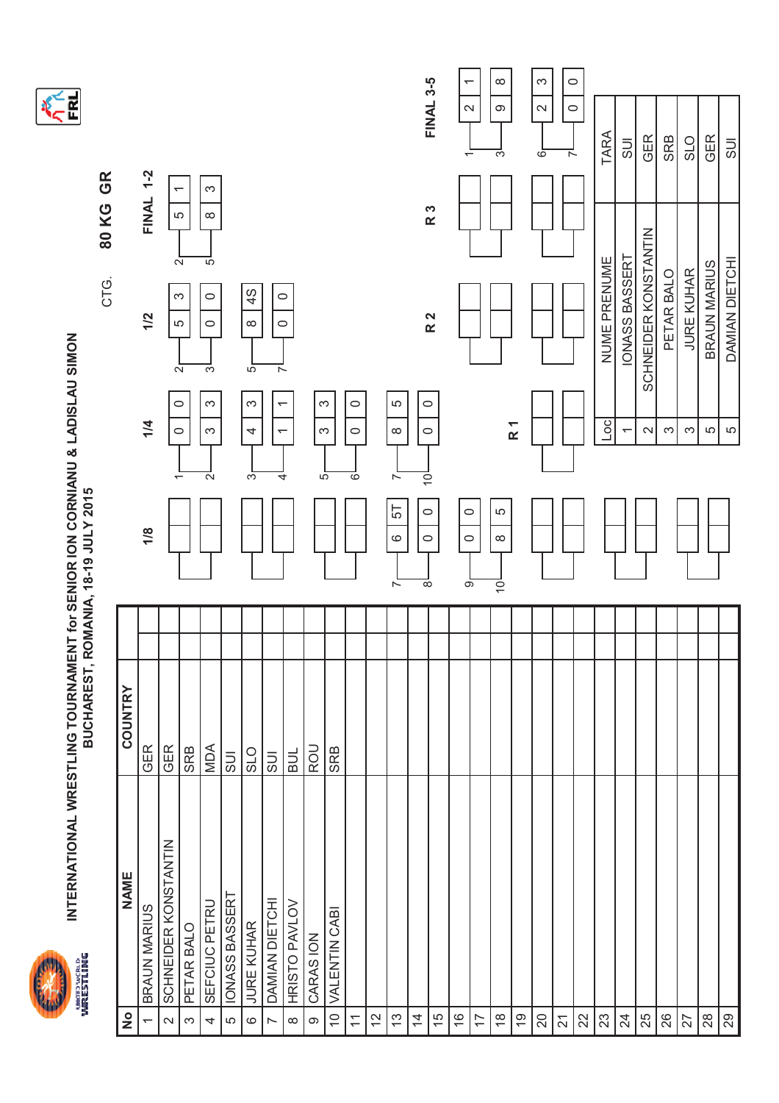



**KERL** 

| $\frac{1}{2}$            | <b>NAME</b>          | COUNTRY               |                                                                      |                                            |                                  |                                         |                                                      |
|--------------------------|----------------------|-----------------------|----------------------------------------------------------------------|--------------------------------------------|----------------------------------|-----------------------------------------|------------------------------------------------------|
|                          | BRAUN MARIUS         | <b>GER</b>            | 1/8                                                                  | 1/4                                        | 1/2                              | FINAL 1-2                               |                                                      |
| $\sim$                   | SCHNEIDER KONSTANTIN | <b>GER</b>            |                                                                      | $\circ$<br>$\circ$                         | က<br>5<br>$\sim$                 | $\overline{\phantom{0}}$<br>5<br>$\sim$ |                                                      |
| $\infty$                 | PETAR BALO           | SRB                   |                                                                      |                                            |                                  |                                         |                                                      |
| 4                        | SEFCIUC PETRU        | MDA                   | $\sim$                                                               | S<br>S                                     | $\circ$<br>$\circ$<br>S          | S<br>$\infty$<br>5                      |                                                      |
| LO                       | IONASS BASSERT       | SUI                   |                                                                      |                                            |                                  |                                         |                                                      |
| $\circ$                  | JURE KUHAR           | <b>O<sub>1</sub>S</b> | က                                                                    | $\infty$<br>4                              | 4S<br>$\infty$<br>$\overline{5}$ |                                         |                                                      |
| $\overline{a}$           | DAMIAN DIETCHI       | <b>US</b>             | 4                                                                    | $\overline{\phantom{0}}$<br>$\overline{ }$ | $\circ$<br>$\circ$<br>$\sim$     |                                         |                                                      |
| $\infty$                 | HRISTO PAVLOV        | <b>HIB</b>            |                                                                      |                                            |                                  |                                         |                                                      |
| $\infty$                 | CARAS ION            | ROU                   | 5                                                                    | S<br>S                                     |                                  |                                         |                                                      |
| 10 <sub>1</sub>          | VALENTIN CABI        | <b>SRB</b>            |                                                                      |                                            |                                  |                                         |                                                      |
| $\overline{\mathcal{L}}$ |                      |                       | 6                                                                    | $\circ$<br>$\circ$                         |                                  |                                         |                                                      |
| 12                       |                      |                       |                                                                      |                                            |                                  |                                         |                                                      |
| $\frac{3}{2}$            |                      |                       | $\sim$<br>57<br>$\circ$<br>$\overline{ }$                            | 5<br>$\infty$                              |                                  |                                         |                                                      |
| $\overline{4}$           |                      |                       | $\overline{\mathsf{S}}$<br>$\circ$<br>$\circ$<br>$\overline{\infty}$ | $\circ$<br>$\circ$                         |                                  |                                         |                                                      |
| $\frac{5}{2}$            |                      |                       |                                                                      |                                            | R 2                              | R 3                                     | FINAL 3-5                                            |
| $\frac{6}{1}$            |                      |                       | $\circ$<br>$\circ$<br>$\overline{\circ}$                             |                                            |                                  |                                         | $\overline{ }$<br>$\sim$<br>$\overline{\phantom{0}}$ |
| $\overline{1}$           |                      |                       |                                                                      |                                            |                                  |                                         |                                                      |
| $\frac{8}{1}$            |                      |                       | Ю<br>$\infty$<br>$\overline{Q}$                                      |                                            |                                  |                                         | ${}^{\circ}$<br>$\circ$<br>S                         |
| $\frac{6}{5}$            |                      |                       |                                                                      | R <sub>1</sub>                             |                                  |                                         |                                                      |
| 20                       |                      |                       |                                                                      |                                            |                                  |                                         | S<br>$\mathbf{\Omega}$<br>$\circ$                    |
| $\overline{2}$           |                      |                       |                                                                      |                                            |                                  |                                         | $\circ$<br>$\circ$<br>$\overline{ }$                 |
| 22                       |                      |                       |                                                                      |                                            |                                  |                                         |                                                      |
| 23                       |                      |                       |                                                                      | OC                                         | NUME PRENUME                     |                                         | TARA                                                 |
| $\overline{24}$          |                      |                       |                                                                      | $\overline{\phantom{0}}$                   | IONASS BASSERT                   |                                         | $rac{1}{\sqrt{2}}$                                   |
| 25                       |                      |                       |                                                                      | $\sim$                                     | SCHNEIDER KONSTANTIN             |                                         | <b>GER</b>                                           |
| 26                       |                      |                       |                                                                      | က                                          | PETAR BALO                       |                                         | <b>SRB</b>                                           |
| 27                       |                      |                       |                                                                      | S                                          | JURE KUHAR                       |                                         | <b>SLO</b>                                           |
| 28                       |                      |                       |                                                                      | 5                                          | BRAUN MARIUS                     |                                         | <b>GER</b>                                           |
| $_{29}$                  |                      |                       |                                                                      | LO                                         | DAMIAN DIETCHI                   |                                         | <b>UCS</b>                                           |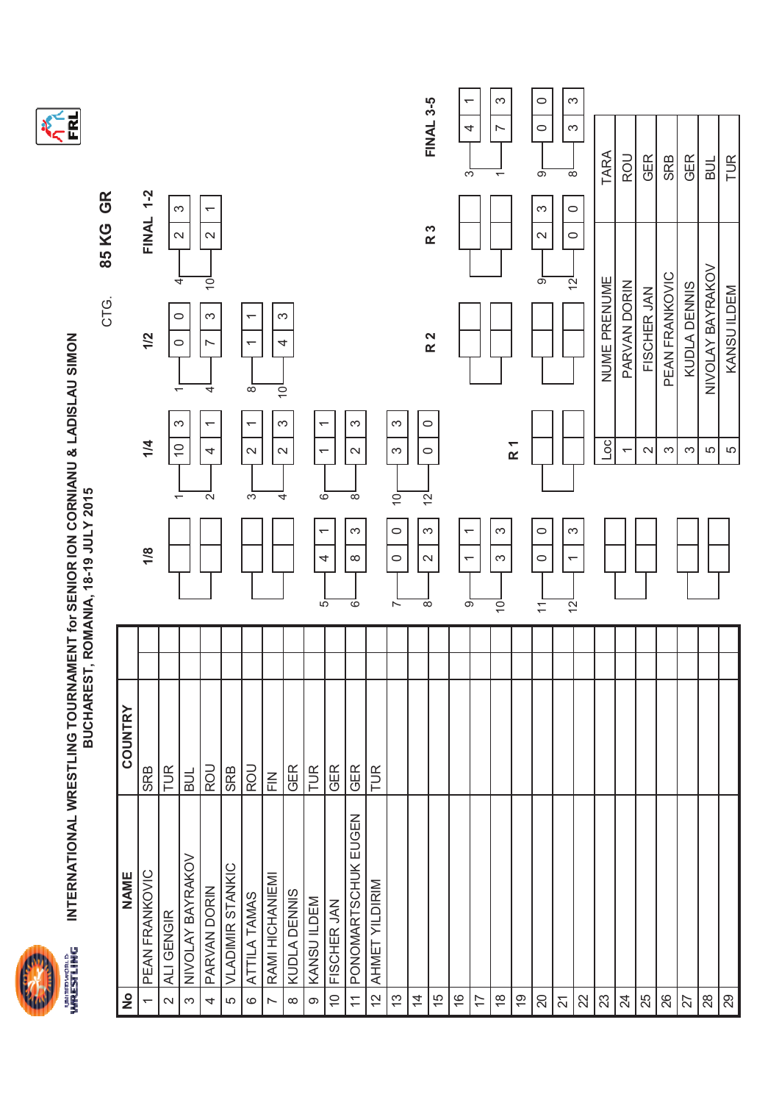



|             |         |                  |                                             |                  |                                                    |                         |                                          |                 |                        |                          |                              |                                               |                                  |                            |                                      | <b>FINAL 3-5</b> | $\overline{\phantom{0}}$<br>4              | S<br>$\overline{ }$ |                | $\circ$<br>$\circ$          | S<br>က                         |              |                          |             |                |              |                  | TUR         |
|-------------|---------|------------------|---------------------------------------------|------------------|----------------------------------------------------|-------------------------|------------------------------------------|-----------------|------------------------|--------------------------|------------------------------|-----------------------------------------------|----------------------------------|----------------------------|--------------------------------------|------------------|--------------------------------------------|---------------------|----------------|-----------------------------|--------------------------------|--------------|--------------------------|-------------|----------------|--------------|------------------|-------------|
| GR<br>85 KG |         | <b>FINAL 1-2</b> | $\mathbf{\Omega}$                           | က                | $\overline{ }$<br>$\mathbf{\sim}$                  |                         |                                          |                 |                        |                          |                              |                                               |                                  |                            |                                      | R 3              | S                                          | $\overline{ }$      |                | ၜ<br>S<br>$\mathbf{\Omega}$ | $\infty$<br>$\circ$<br>$\circ$ | TARA         | ROU                      | GER         | SRB            | <b>GER</b>   | $\frac{1}{2}$    |             |
| CTG.        |         |                  |                                             | 4<br>0           | $\overline{5}$<br>က                                |                         | ᡪ                                        |                 | ω                      |                          |                              |                                               |                                  |                            |                                      |                  |                                            |                     |                | တ                           | $\overline{2}$                 | NUME PRENUME | PARVAN DORIN             | FISCHER JAN | PEAN FRANKOVIC | KUDLA DENNIS | NIVOLAY BAYRAKOV | KANSU ILDEM |
|             |         | 1/2              | $\overline{\phantom{0}}$                    | 0                | ∼<br>4                                             |                         | $\overline{\phantom{0}}$<br>$\infty$     | $\overline{Q}$  | 4                      |                          |                              |                                               |                                  |                            |                                      | R 2              |                                            |                     |                |                             |                                |              |                          |             |                |              |                  |             |
|             |         | 1/4              | $\widetilde{C}$<br>$\overline{\phantom{0}}$ | က                | $\overline{\phantom{0}}$<br>4<br>$\mathbf{\Omega}$ |                         | $\overline{\phantom{0}}$<br>$\sim$<br>က် | 4               | က<br>$\mathbf{\Omega}$ | ↽<br>$\overline{ }$<br>6 |                              | S<br>$\mathbf{\Omega}$<br>$\overline{\infty}$ |                                  | $\infty$<br>S<br>$\dot{0}$ | $\circ$<br>$\circ$<br>$\overline{2}$ |                  |                                            |                     | R <sub>1</sub> |                             |                                | $^{0}$       | $\overline{\phantom{0}}$ | $\sim$      | S              | S            | 5                | 5           |
|             |         | 1/8              |                                             |                  |                                                    |                         |                                          |                 |                        | ↽<br>4                   |                              | S<br>$\infty$                                 |                                  | $\circ$<br>$\circ$         | S<br>$\mathbf{\sim}$                 |                  | $\overline{ }$<br>$\overline{\phantom{0}}$ | S<br>S              |                | $\circ$<br>$\circ$          | က<br>$\overline{ }$            |              |                          |             |                |              |                  |             |
|             |         |                  |                                             |                  |                                                    |                         |                                          |                 |                        | $\overline{5}$           |                              | $\circ$                                       |                                  | $\overline{ }$             | $\infty$                             |                  | တ                                          | $\overline{O}$      |                | $\overline{ }$              | $\overline{2}$                 |              |                          |             |                |              |                  |             |
|             | COUNTRY | <b>SRB</b>       | TUR                                         | <b>BUL</b>       | ROU                                                | <b>SRB</b>              | ROU                                      | $\frac{2}{L}$   | <b>GER</b>             | TUR                      | GER                          | GER                                           | <b>TUR</b>                       |                            |                                      |                  |                                            |                     |                |                             |                                |              |                          |             |                |              |                  |             |
|             |         |                  |                                             |                  |                                                    |                         |                                          |                 |                        |                          |                              | PONOMARTSCHUK EUGEN                           |                                  |                            |                                      |                  |                                            |                     |                |                             |                                |              |                          |             |                |              |                  |             |
|             |         |                  |                                             |                  |                                                    |                         |                                          |                 |                        |                          |                              |                                               |                                  |                            |                                      |                  |                                            |                     |                |                             |                                |              |                          |             |                |              |                  |             |
|             | NAME    | PEAN FRANKOVIC   | ALI GENGIR                                  | NIVOLAY BAYRAKOV | PARVAN DORIN                                       | <b>VLADIMIR STANKIC</b> | ATTILA TAMAS                             | RAMI HICHANIEMI | KUDLA DENNIS           | KANSU ILDEM              | FISCHER JAN<br>$\frac{1}{2}$ |                                               | AHMET YILDIRIM<br>$\overline{C}$ |                            |                                      |                  |                                            |                     |                |                             |                                |              |                          |             |                |              |                  |             |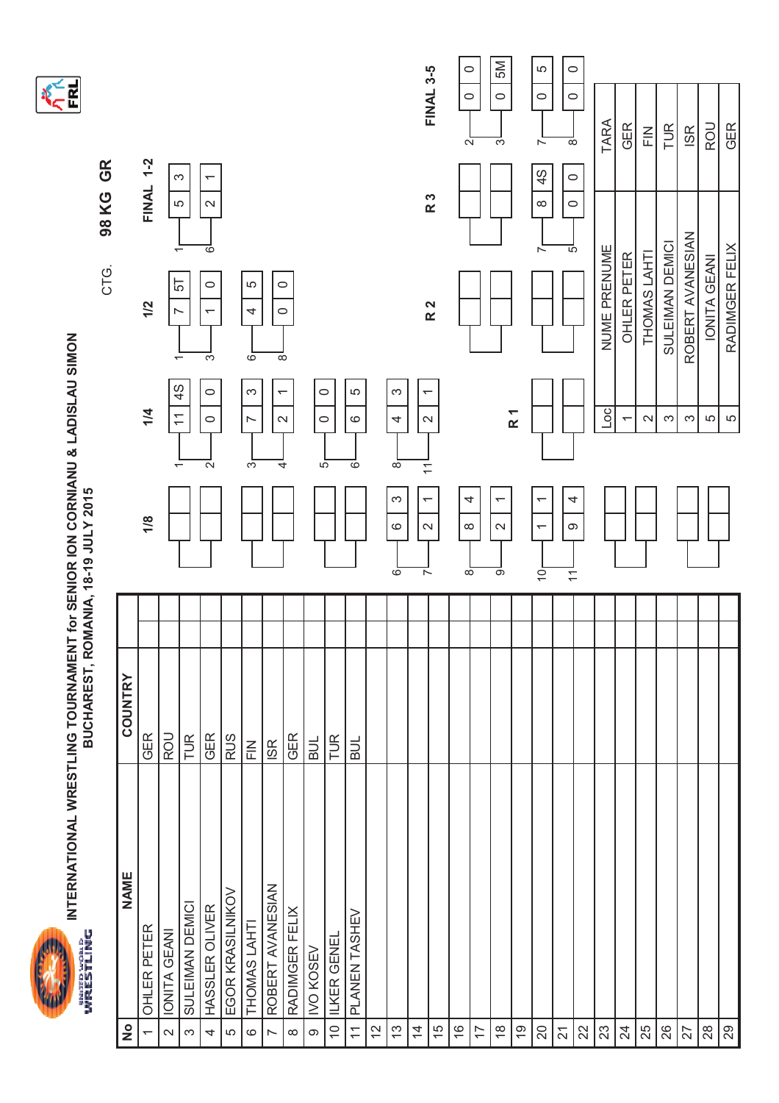



**ANEL** 

|                         |                    |                 |                                                              |                                                               | CTG.                                     | GR<br>98 KG                                              |                                          |
|-------------------------|--------------------|-----------------|--------------------------------------------------------------|---------------------------------------------------------------|------------------------------------------|----------------------------------------------------------|------------------------------------------|
| $\frac{1}{2}$           | NAME               | COUNTRY         |                                                              |                                                               |                                          |                                                          |                                          |
| $\overline{ }$          | <b>OHLER PETER</b> | GER             | 1/8                                                          | 1/4                                                           | 1/2                                      | <b>FINAL 1-2</b>                                         |                                          |
| $\sim$                  | IONITA GEANI       | ROU             |                                                              | $\tilde{\tau}$                                                | N<br>᠇                                   | LO                                                       |                                          |
| $\infty$                | SULEIMAN DEMICI    | TUR             |                                                              | $\frac{4}{5}$<br>$\overline{\phantom{0}}$                     | 55                                       | S<br>$\overline{\phantom{0}}$                            |                                          |
| 4                       | HASSLER OLIVER     | <b>GER</b>      |                                                              | $\circ$<br>$\circ$<br>$\mathbf{\Omega}$                       | $\circ$<br>$\overline{\phantom{0}}$<br>S | $\overline{\phantom{0}}$<br>$\mathbf{\Omega}$<br>$\circ$ |                                          |
| LO.                     | EGOR KRASILNIKOV   | <b>RUS</b>      |                                                              |                                                               |                                          |                                                          |                                          |
| $\circ$                 | THOMAS LAHT        | $\frac{Z}{L}$   |                                                              | S<br>$\overline{\phantom{0}}$<br>S                            | 5<br>4<br>စ                              |                                                          |                                          |
| $\overline{a}$          | ROBERT AVANESIAN   | IS <sub>R</sub> |                                                              | $\overline{\phantom{0}}$                                      | ${}^{\circ}$                             |                                                          |                                          |
| $\infty$                | RADIMGER FELIX     | GER             |                                                              | $\sim$<br>4                                                   | $\circ$<br>$\circ$                       |                                                          |                                          |
| $\infty$                | <b>IVO KOSEV</b>   | <b>HOR</b>      |                                                              | $\circ$<br>5                                                  |                                          |                                                          |                                          |
| $\widetilde{C}$         | ILKER GENEL        | TUR             |                                                              | $\circ$                                                       |                                          |                                                          |                                          |
| $\overline{\mathbf{r}}$ | PLANEN TASHEV      | <b>BUL</b>      |                                                              | 5<br>$\circ$<br>6                                             |                                          |                                                          |                                          |
| 12                      |                    |                 |                                                              |                                                               |                                          |                                                          |                                          |
| $\frac{3}{2}$           |                    |                 | S<br>$\circ$<br>6                                            | S<br>4<br>${}^{\circ}$                                        |                                          |                                                          |                                          |
| $\overline{4}$          |                    |                 | $\overline{\phantom{0}}$<br>$\sim$<br>ᅐ                      | $\overline{\phantom{0}}$<br>$\sim$<br>$\overline{\mathbf{r}}$ |                                          |                                                          |                                          |
| $\frac{5}{1}$           |                    |                 |                                                              |                                                               | R <sub>2</sub>                           | R 3                                                      | <b>FINAL 3-5</b>                         |
| $\frac{6}{5}$           |                    |                 | 4<br>$\infty$<br>$\overline{\infty}$                         |                                                               |                                          |                                                          | $\circ$<br>$\circ$<br>$\sim$             |
| 17                      |                    |                 |                                                              |                                                               |                                          |                                                          |                                          |
| $\frac{8}{1}$           |                    |                 | $\overline{ }$<br>$\sim$<br>တ                                |                                                               |                                          |                                                          | SM<br>$\circ$<br>က                       |
| Ó,                      |                    |                 |                                                              | R <sub>1</sub>                                                |                                          |                                                          |                                          |
| $\overline{20}$         |                    |                 | $\overline{ }$<br>$\overline{\phantom{0}}$<br>$\overline{0}$ |                                                               |                                          | 4S<br>$\infty$<br>$\overline{ }$                         | LO.<br>$\circ$<br>$\sim$                 |
| $\overline{2}$          |                    |                 | 4<br>ၜ<br>$\overline{\tau}$                                  |                                                               |                                          | $\circ$<br>$\circ$<br>5                                  | $\circ$<br>$\circ$<br>${}^{\circ}$       |
| 22                      |                    |                 |                                                              |                                                               |                                          |                                                          |                                          |
| 23                      |                    |                 |                                                              | ОС                                                            | NUME PRENUME                             |                                                          | TARA                                     |
| $^{24}$                 |                    |                 |                                                              | $\overline{\phantom{0}}$                                      | OHLER PETER                              |                                                          | <b>GER</b>                               |
| 25                      |                    |                 |                                                              | $\boldsymbol{\sim}$                                           | THOMAS LAHT                              |                                                          | $\frac{\textstyle\sum}{\textstyle\prod}$ |
| 26                      |                    |                 |                                                              | $\infty$                                                      | SULEIMAN DEMICI                          |                                                          | TUR                                      |
| 27                      |                    |                 |                                                              | $\infty$                                                      | ROBERT AVANESIAN                         |                                                          | <b>ISR</b>                               |
| 28                      |                    |                 |                                                              | 5                                                             | IONITA GEANI                             |                                                          | ROU                                      |
| 29                      |                    |                 |                                                              | LO                                                            | RADIMGER FELIX                           |                                                          | GER                                      |